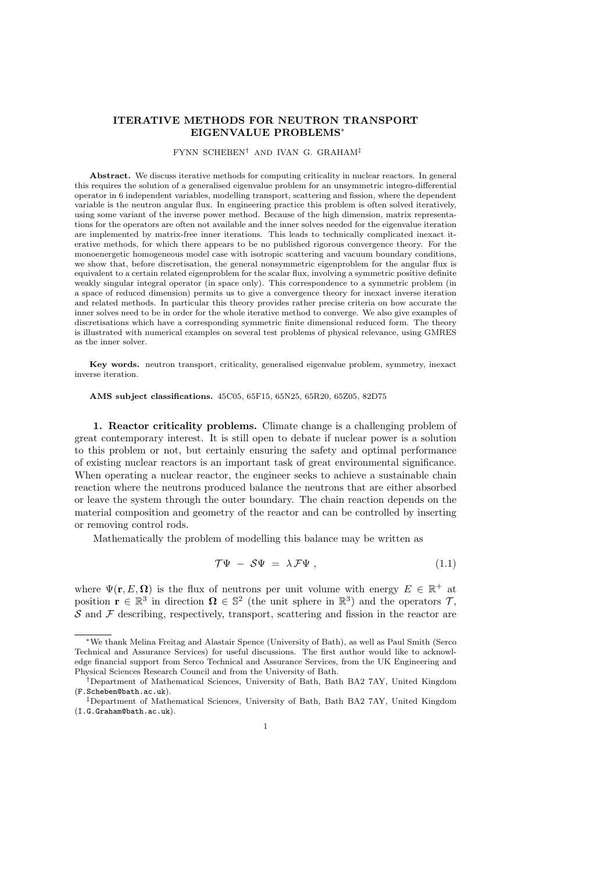# ITERATIVE METHODS FOR NEUTRON TRANSPORT EIGENVALUE PROBLEMS<sup>∗</sup>

### FYNN SCHEBEN† AND IVAN G. GRAHAM‡

Abstract. We discuss iterative methods for computing criticality in nuclear reactors. In general this requires the solution of a generalised eigenvalue problem for an unsymmetric integro-differential operator in 6 independent variables, modelling transport, scattering and fission, where the dependent variable is the neutron angular flux. In engineering practice this problem is often solved iteratively, using some variant of the inverse power method. Because of the high dimension, matrix representations for the operators are often not available and the inner solves needed for the eigenvalue iteration are implemented by matrix-free inner iterations. This leads to technically complicated inexact iterative methods, for which there appears to be no published rigorous convergence theory. For the monoenergetic homogeneous model case with isotropic scattering and vacuum boundary conditions, we show that, before discretisation, the general nonsymmetric eigenproblem for the angular flux is equivalent to a certain related eigenproblem for the scalar flux, involving a symmetric positive definite weakly singular integral operator (in space only). This correspondence to a symmetric problem (in a space of reduced dimension) permits us to give a convergence theory for inexact inverse iteration and related methods. In particular this theory provides rather precise criteria on how accurate the inner solves need to be in order for the whole iterative method to converge. We also give examples of discretisations which have a corresponding symmetric finite dimensional reduced form. The theory is illustrated with numerical examples on several test problems of physical relevance, using GMRES as the inner solver.

Key words. neutron transport, criticality, generalised eigenvalue problem, symmetry, inexact inverse iteration.

AMS subject classifications. 45C05, 65F15, 65N25, 65R20, 65Z05, 82D75

1. Reactor criticality problems. Climate change is a challenging problem of great contemporary interest. It is still open to debate if nuclear power is a solution to this problem or not, but certainly ensuring the safety and optimal performance of existing nuclear reactors is an important task of great environmental significance. When operating a nuclear reactor, the engineer seeks to achieve a sustainable chain reaction where the neutrons produced balance the neutrons that are either absorbed or leave the system through the outer boundary. The chain reaction depends on the material composition and geometry of the reactor and can be controlled by inserting or removing control rods.

Mathematically the problem of modelling this balance may be written as

$$
\mathcal{T}\Psi - \mathcal{S}\Psi = \lambda \mathcal{F}\Psi , \qquad (1.1)
$$

where  $\Psi(\mathbf{r}, E, \mathbf{\Omega})$  is the flux of neutrons per unit volume with energy  $E \in \mathbb{R}^+$  at position  $\mathbf{r} \in \mathbb{R}^3$  in direction  $\mathbf{\Omega} \in \mathbb{S}^2$  (the unit sphere in  $\mathbb{R}^3$ ) and the operators  $\mathcal{T}$ ,  $\mathcal S$  and  $\mathcal F$  describing, respectively, transport, scattering and fission in the reactor are

<sup>∗</sup>We thank Melina Freitag and Alastair Spence (University of Bath), as well as Paul Smith (Serco Technical and Assurance Services) for useful discussions. The first author would like to acknowledge financial support from Serco Technical and Assurance Services, from the UK Engineering and Physical Sciences Research Council and from the University of Bath.

<sup>†</sup>Department of Mathematical Sciences, University of Bath, Bath BA2 7AY, United Kingdom (F.Scheben@bath.ac.uk).

<sup>‡</sup>Department of Mathematical Sciences, University of Bath, Bath BA2 7AY, United Kingdom (I.G.Graham@bath.ac.uk).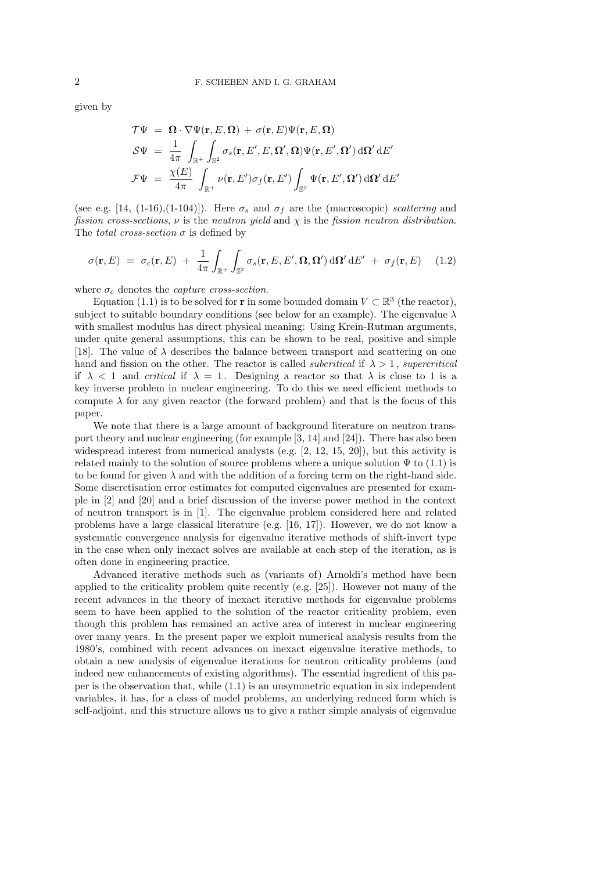given by

$$
\mathcal{T}\Psi = \mathbf{\Omega} \cdot \nabla \Psi(\mathbf{r}, E, \mathbf{\Omega}) + \sigma(\mathbf{r}, E) \Psi(\mathbf{r}, E, \mathbf{\Omega})
$$
  
\n
$$
\mathcal{S}\Psi = \frac{1}{4\pi} \int_{\mathbb{R}^+} \int_{\mathbb{S}^2} \sigma_s(\mathbf{r}, E', E, \mathbf{\Omega}', \mathbf{\Omega}) \Psi(\mathbf{r}, E', \mathbf{\Omega}') d\mathbf{\Omega}' dE'
$$
  
\n
$$
\mathcal{F}\Psi = \frac{\chi(E)}{4\pi} \int_{\mathbb{R}^+} \nu(\mathbf{r}, E') \sigma_f(\mathbf{r}, E') \int_{\mathbb{S}^2} \Psi(\mathbf{r}, E', \mathbf{\Omega}') d\mathbf{\Omega}' dE'
$$

(see e.g. [14, (1-16),(1-104)]). Here  $\sigma_s$  and  $\sigma_f$  are the (macroscopic) scattering and fission cross-sections,  $\nu$  is the neutron yield and  $\chi$  is the fission neutron distribution. The *total cross-section*  $\sigma$  is defined by

$$
\sigma(\mathbf{r}, E) = \sigma_c(\mathbf{r}, E) + \frac{1}{4\pi} \int_{\mathbb{R}^+} \int_{\mathbb{S}^2} \sigma_s(\mathbf{r}, E, E', \mathbf{\Omega}, \mathbf{\Omega}') d\mathbf{\Omega}' dE' + \sigma_f(\mathbf{r}, E) \quad (1.2)
$$

where  $\sigma_c$  denotes the *capture cross-section*.

Equation (1.1) is to be solved for **r** in some bounded domain  $V \subset \mathbb{R}^3$  (the reactor), subject to suitable boundary conditions (see below for an example). The eigenvalue  $\lambda$ with smallest modulus has direct physical meaning: Using Krein-Rutman arguments, under quite general assumptions, this can be shown to be real, positive and simple [18]. The value of  $\lambda$  describes the balance between transport and scattering on one hand and fission on the other. The reactor is called *subcritical* if  $\lambda > 1$ , *supercritical* if  $\lambda < 1$  and *critical* if  $\lambda = 1$ . Designing a reactor so that  $\lambda$  is close to 1 is a key inverse problem in nuclear engineering. To do this we need efficient methods to compute  $\lambda$  for any given reactor (the forward problem) and that is the focus of this paper.

We note that there is a large amount of background literature on neutron transport theory and nuclear engineering (for example [3, 14] and [24]). There has also been widespread interest from numerical analysts (e.g.  $[2, 12, 15, 20]$ ), but this activity is related mainly to the solution of source problems where a unique solution  $\Psi$  to (1.1) is to be found for given  $\lambda$  and with the addition of a forcing term on the right-hand side. Some discretisation error estimates for computed eigenvalues are presented for example in [2] and [20] and a brief discussion of the inverse power method in the context of neutron transport is in [1]. The eigenvalue problem considered here and related problems have a large classical literature (e.g. [16, 17]). However, we do not know a systematic convergence analysis for eigenvalue iterative methods of shift-invert type in the case when only inexact solves are available at each step of the iteration, as is often done in engineering practice.

Advanced iterative methods such as (variants of) Arnoldi's method have been applied to the criticality problem quite recently (e.g. [25]). However not many of the recent advances in the theory of inexact iterative methods for eigenvalue problems seem to have been applied to the solution of the reactor criticality problem, even though this problem has remained an active area of interest in nuclear engineering over many years. In the present paper we exploit numerical analysis results from the 1980's, combined with recent advances on inexact eigenvalue iterative methods, to obtain a new analysis of eigenvalue iterations for neutron criticality problems (and indeed new enhancements of existing algorithms). The essential ingredient of this paper is the observation that, while (1.1) is an unsymmetric equation in six independent variables, it has, for a class of model problems, an underlying reduced form which is self-adjoint, and this structure allows us to give a rather simple analysis of eigenvalue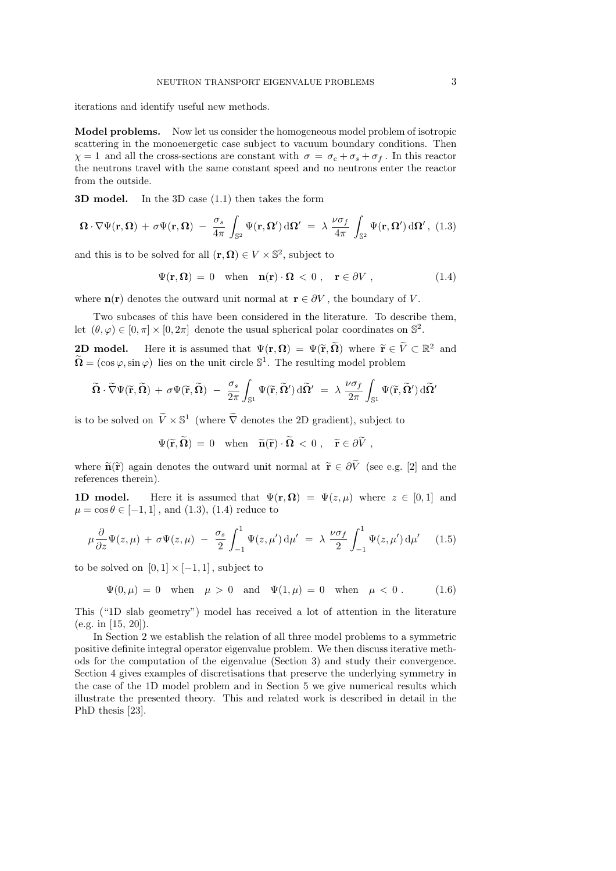iterations and identify useful new methods.

Model problems. Now let us consider the homogeneous model problem of isotropic scattering in the monoenergetic case subject to vacuum boundary conditions. Then  $\chi = 1$  and all the cross-sections are constant with  $\sigma = \sigma_c + \sigma_s + \sigma_f$ . In this reactor the neutrons travel with the same constant speed and no neutrons enter the reactor from the outside.

3D model. In the 3D case (1.1) then takes the form

$$
\mathbf{\Omega} \cdot \nabla \Psi(\mathbf{r}, \mathbf{\Omega}) + \sigma \Psi(\mathbf{r}, \mathbf{\Omega}) - \frac{\sigma_s}{4\pi} \int_{\mathbb{S}^2} \Psi(\mathbf{r}, \mathbf{\Omega}') d\mathbf{\Omega}' = \lambda \frac{\nu \sigma_f}{4\pi} \int_{\mathbb{S}^2} \Psi(\mathbf{r}, \mathbf{\Omega}') d\mathbf{\Omega}', (1.3)
$$

and this is to be solved for all  $(\mathbf{r}, \mathbf{\Omega}) \in V \times \mathbb{S}^2$ , subject to

$$
\Psi(\mathbf{r}, \mathbf{\Omega}) = 0 \quad \text{when} \quad \mathbf{n}(\mathbf{r}) \cdot \mathbf{\Omega} < 0 \,, \quad \mathbf{r} \in \partial V \,, \tag{1.4}
$$

where  $\mathbf{n}(\mathbf{r})$  denotes the outward unit normal at  $\mathbf{r} \in \partial V$ , the boundary of V.

Two subcases of this have been considered in the literature. To describe them, let  $(\theta, \varphi) \in [0, \pi] \times [0, 2\pi]$  denote the usual spherical polar coordinates on  $\mathbb{S}^2$ .

**2D model.** Here it is assumed that  $\Psi(\mathbf{r}, \Omega) = \Psi(\widetilde{\mathbf{r}}, \widetilde{\Omega})$  where  $\widetilde{\mathbf{r}} \in \widetilde{V} \subset \mathbb{R}^2$  and  $\widetilde{\Omega} = (\cos \varphi, \sin \varphi)$  lies on the unit circle  $\mathbb{S}^1$ . The resulting model problem

$$
\widetilde{\Omega} \cdot \widetilde{\nabla} \Psi(\widetilde{\mathbf{r}}, \widetilde{\Omega}) \; + \; \sigma \Psi(\widetilde{\mathbf{r}}, \widetilde{\Omega}) \; - \; \frac{\sigma_s}{2\pi} \int_{\mathbb{S}^1} \Psi(\widetilde{\mathbf{r}}, \widetilde{\Omega}') \, \mathrm{d}\widetilde{\Omega}' \; = \; \lambda \; \frac{\nu \sigma_f}{2\pi} \int_{\mathbb{S}^1} \Psi(\widetilde{\mathbf{r}}, \widetilde{\Omega}') \, \mathrm{d}\widetilde{\Omega}'
$$

is to be solved on  $\widetilde{V} \times \mathbb{S}^1$  (where  $\widetilde{\nabla}$  denotes the 2D gradient), subject to

$$
\Psi(\widetilde{\mathbf{r}},\widetilde{\mathbf{\Omega}}) \,=\, 0 \quad \text{when} \quad \widetilde{\mathbf{n}}(\widetilde{\mathbf{r}}) \cdot \widetilde{\mathbf{\Omega}} \,<\, 0\ , \quad \widetilde{\mathbf{r}} \in \partial \widetilde{V}\ ,
$$

where  $\tilde{\mathbf{n}}(\tilde{\mathbf{r}})$  again denotes the outward unit normal at  $\tilde{\mathbf{r}} \in \partial \tilde{V}$  (see e.g. [2] and the references therein).

**1D model.** Here it is assumed that  $\Psi(\mathbf{r}, \mathbf{\Omega}) = \Psi(z, \mu)$  where  $z \in [0, 1]$  and  $\mu = \cos \theta \in [-1, 1]$ , and  $(1.3)$ ,  $(1.4)$  reduce to

$$
\mu \frac{\partial}{\partial z} \Psi(z,\mu) + \sigma \Psi(z,\mu) - \frac{\sigma_s}{2} \int_{-1}^1 \Psi(z,\mu') d\mu' = \lambda \frac{\nu \sigma_f}{2} \int_{-1}^1 \Psi(z,\mu') d\mu' \quad (1.5)
$$

to be solved on  $[0, 1] \times [-1, 1]$ , subject to

 $\Psi(0, \mu) = 0$  when  $\mu > 0$  and  $\Psi(1, \mu) = 0$  when  $\mu < 0$ . (1.6)

This ("1D slab geometry") model has received a lot of attention in the literature (e.g. in [15, 20]).

In Section 2 we establish the relation of all three model problems to a symmetric positive definite integral operator eigenvalue problem. We then discuss iterative methods for the computation of the eigenvalue (Section 3) and study their convergence. Section 4 gives examples of discretisations that preserve the underlying symmetry in the case of the 1D model problem and in Section 5 we give numerical results which illustrate the presented theory. This and related work is described in detail in the PhD thesis [23].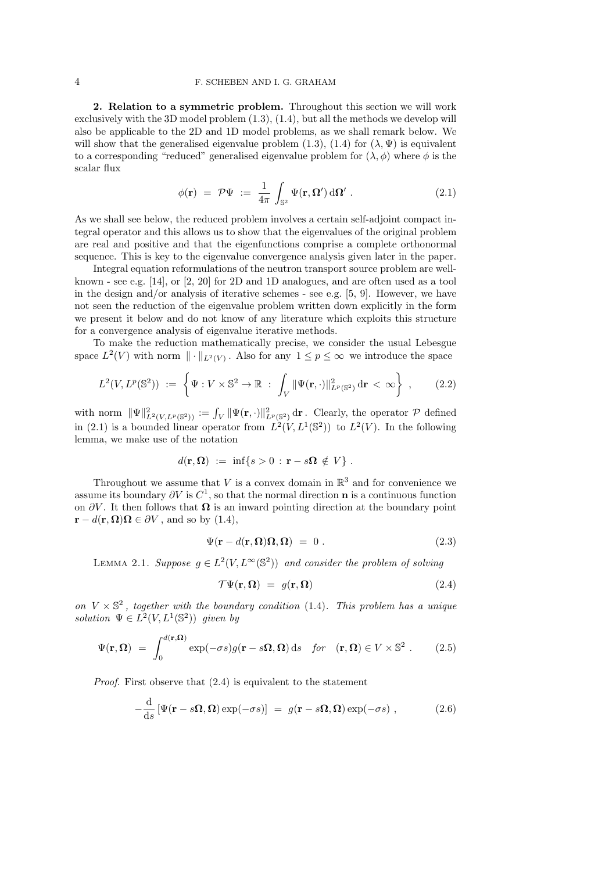#### 4 F. SCHEBEN AND I. G. GRAHAM

2. Relation to a symmetric problem. Throughout this section we will work exclusively with the 3D model problem (1.3), (1.4), but all the methods we develop will also be applicable to the 2D and 1D model problems, as we shall remark below. We will show that the generalised eigenvalue problem (1.3), (1.4) for  $(\lambda, \Psi)$  is equivalent to a corresponding "reduced" generalised eigenvalue problem for  $(\lambda, \phi)$  where  $\phi$  is the scalar flux

$$
\phi(\mathbf{r}) = \mathcal{P}\Psi := \frac{1}{4\pi} \int_{\mathbb{S}^2} \Psi(\mathbf{r}, \mathbf{\Omega}') \, \mathrm{d}\mathbf{\Omega}' \,. \tag{2.1}
$$

As we shall see below, the reduced problem involves a certain self-adjoint compact integral operator and this allows us to show that the eigenvalues of the original problem are real and positive and that the eigenfunctions comprise a complete orthonormal sequence. This is key to the eigenvalue convergence analysis given later in the paper.

Integral equation reformulations of the neutron transport source problem are wellknown - see e.g. [14], or [2, 20] for 2D and 1D analogues, and are often used as a tool in the design and/or analysis of iterative schemes - see e.g.  $[5, 9]$ . However, we have not seen the reduction of the eigenvalue problem written down explicitly in the form we present it below and do not know of any literature which exploits this structure for a convergence analysis of eigenvalue iterative methods.

To make the reduction mathematically precise, we consider the usual Lebesgue space  $L^2(V)$  with norm  $\|\cdot\|_{L^2(V)}$ . Also for any  $1 \leq p \leq \infty$  we introduce the space

$$
L^2(V, L^p(\mathbb{S}^2)) := \left\{ \Psi : V \times \mathbb{S}^2 \to \mathbb{R} : \int_V \|\Psi(\mathbf{r}, \cdot)\|_{L^p(\mathbb{S}^2)}^2 d\mathbf{r} < \infty \right\} ,\qquad(2.2)
$$

with norm  $\|\Psi\|_{L^2(V,L^p(\mathbb{S}^2))}^2 := \int_V \|\Psi(\mathbf{r},\cdot)\|_{L^p(\mathbb{S}^2)}^2 d\mathbf{r}$ . Clearly, the operator  $\mathcal P$  defined in (2.1) is a bounded linear operator from  $L^2(V, L^1(\mathbb{S}^2))$  to  $L^2(V)$ . In the following lemma, we make use of the notation

$$
d(\mathbf{r},\mathbf{\Omega})\ :=\ \inf\{s>0\ :\ \mathbf{r}-s\mathbf{\Omega}\ \notin\ V\}\ .
$$

Throughout we assume that  $V$  is a convex domain in  $\mathbb{R}^3$  and for convenience we assume its boundary  $\partial V$  is  $C^1$ , so that the normal direction **n** is a continuous function on  $\partial V$ . It then follows that  $\Omega$  is an inward pointing direction at the boundary point  $\mathbf{r} - d(\mathbf{r}, \mathbf{\Omega})\mathbf{\Omega} \in \partial V$ , and so by (1.4),

$$
\Psi(\mathbf{r} - d(\mathbf{r}, \mathbf{\Omega})\mathbf{\Omega}, \mathbf{\Omega}) = 0.
$$
\n(2.3)

LEMMA 2.1. Suppose  $g \in L^2(V, L^\infty(\mathbb{S}^2))$  and consider the problem of solving

$$
\mathcal{T}\Psi(\mathbf{r},\Omega) = g(\mathbf{r},\Omega) \tag{2.4}
$$

on  $V \times \mathbb{S}^2$ , together with the boundary condition (1.4). This problem has a unique solution  $\Psi \in L^2(V, L^1(\mathbb{S}^2))$  given by

$$
\Psi(\mathbf{r}, \mathbf{\Omega}) = \int_0^{d(\mathbf{r}, \mathbf{\Omega})} \exp(-\sigma s) g(\mathbf{r} - s\mathbf{\Omega}, \mathbf{\Omega}) \, \mathrm{d}s \quad \text{for} \quad (\mathbf{r}, \mathbf{\Omega}) \in V \times \mathbb{S}^2 \; . \tag{2.5}
$$

Proof. First observe that (2.4) is equivalent to the statement

$$
-\frac{\mathrm{d}}{\mathrm{d}s}\left[\Psi(\mathbf{r}-s\mathbf{\Omega},\mathbf{\Omega})\exp(-\sigma s)\right] = g(\mathbf{r}-s\mathbf{\Omega},\mathbf{\Omega})\exp(-\sigma s) ,\qquad (2.6)
$$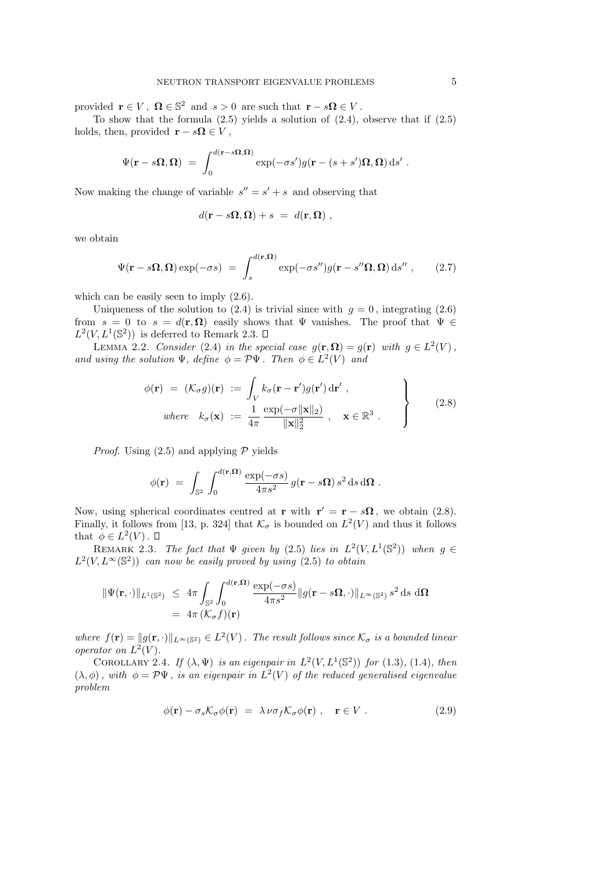provided  $\mathbf{r} \in V$ ,  $\mathbf{\Omega} \in \mathbb{S}^2$  and  $s > 0$  are such that  $\mathbf{r} - s\mathbf{\Omega} \in V$ .

To show that the formula  $(2.5)$  yields a solution of  $(2.4)$ , observe that if  $(2.5)$ holds, then, provided  $\mathbf{r} - s\mathbf{\Omega} \in V$ ,

$$
\Psi(\mathbf{r}-s\boldsymbol{\Omega},\boldsymbol{\Omega})\ =\ \int_0^{d(\mathbf{r}-s\boldsymbol{\Omega},\boldsymbol{\Omega})} \exp(-\sigma s') g(\mathbf{r}-(s+s')\boldsymbol{\Omega},\boldsymbol{\Omega})\, {\rm d} s'\ .
$$

Now making the change of variable  $s'' = s' + s$  and observing that

$$
d(\mathbf{r} - s\mathbf{\Omega}, \mathbf{\Omega}) + s = d(\mathbf{r}, \mathbf{\Omega}) ,
$$

we obtain

$$
\Psi(\mathbf{r} - s\mathbf{\Omega}, \mathbf{\Omega}) \exp(-\sigma s) = \int_{s}^{d(\mathbf{r}, \mathbf{\Omega})} \exp(-\sigma s'') g(\mathbf{r} - s''\mathbf{\Omega}, \mathbf{\Omega}) \,ds'' \,, \qquad (2.7)
$$

which can be easily seen to imply (2.6).

Uniqueness of the solution to (2.4) is trivial since with  $q = 0$ , integrating (2.6) from  $s = 0$  to  $s = d(\mathbf{r}, \mathbf{\Omega})$  easily shows that  $\Psi$  vanishes. The proof that  $\Psi \in$  $L^2(V, L^1(\mathbb{S}^2))$  is deferred to Remark 2.3.

LEMMA 2.2. Consider (2.4) in the special case  $g(\mathbf{r}, \mathbf{\Omega}) = g(\mathbf{r})$  with  $g \in L^2(V)$ , and using the solution  $\Psi$ , define  $\phi = \mathcal{P}\Psi$ . Then  $\phi \in L^2(V)$  and

$$
\phi(\mathbf{r}) = (\mathcal{K}_{\sigma} g)(\mathbf{r}) := \int_{V} k_{\sigma} (\mathbf{r} - \mathbf{r}') g(\mathbf{r}') d\mathbf{r}',
$$
  
\nwhere  $k_{\sigma}(\mathbf{x}) := \frac{1}{4\pi} \frac{\exp(-\sigma ||\mathbf{x}||_2)}{||\mathbf{x}||_2^2}, \mathbf{x} \in \mathbb{R}^3$ . (2.8)

*Proof.* Using  $(2.5)$  and applying  $\mathcal P$  yields

$$
\phi(\mathbf{r})\;=\;\int_{\mathbb{S}^2}\,\int_0^{d(\mathbf{r},\mathbf{\Omega})}\frac{\exp(-\sigma s)}{4\pi s^2}\,g(\mathbf{r}-s\mathbf{\Omega})\,s^2\,\mathrm{d} s\,\mathrm{d}\mathbf{\Omega}\;.
$$

Now, using spherical coordinates centred at **r** with  $\mathbf{r}' = \mathbf{r} - s\mathbf{\Omega}$ , we obtain (2.8). Finally, it follows from [13, p. 324] that  $\mathcal{K}_{\sigma}$  is bounded on  $L^2(V)$  and thus it follows that  $\phi \in L^2(V)$ .

REMARK 2.3. The fact that  $\Psi$  given by (2.5) lies in  $L^2(V, L^1(\mathbb{S}^2))$  when  $g \in$  $L^2(V, L^\infty(\mathbb{S}^2))$  can now be easily proved by using (2.5) to obtain

$$
\begin{aligned} \|\Psi(\mathbf{r},\cdot)\|_{L^1(\mathbb{S}^2)} &\leq 4\pi \int_{\mathbb{S}^2} \int_0^{d(\mathbf{r},\Omega)} \frac{\exp(-\sigma s)}{4\pi s^2} \|g(\mathbf{r} - s\Omega,\cdot)\|_{L^\infty(\mathbb{S}^2)} s^2 \,\mathrm{d} s \,\mathrm{d}\Omega \\ &= 4\pi \left(\mathcal{K}_\sigma f\right)(\mathbf{r}) \end{aligned}
$$

where  $f(\mathbf{r}) = ||g(\mathbf{r}, \cdot)||_{L^{\infty}(\mathbb{S}^2)} \in L^2(V)$ . The result follows since  $\mathcal{K}_{\sigma}$  is a bounded linear operator on  $L^2(V)$ .

COROLLARY 2.4. If  $(\lambda, \Psi)$  is an eigenpair in  $L^2(V, L^1(\mathbb{S}^2))$  for (1.3), (1.4), then  $(\lambda, \phi)$ , with  $\phi = \mathcal{P}\Psi$ , is an eigenpair in  $L^2(V)$  of the reduced generalised eigenvalue problem

$$
\phi(\mathbf{r}) - \sigma_s \mathcal{K}_\sigma \phi(\mathbf{r}) = \lambda \nu \sigma_f \mathcal{K}_\sigma \phi(\mathbf{r}) , \quad \mathbf{r} \in V . \tag{2.9}
$$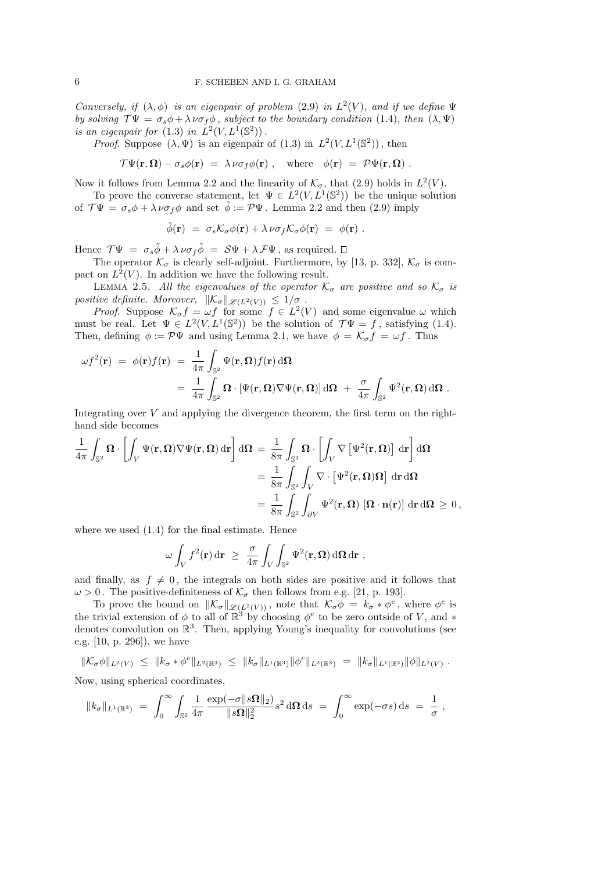Conversely, if  $(\lambda, \phi)$  is an eigenpair of problem (2.9) in  $L^2(V)$ , and if we define  $\Psi$ by solving  $\mathcal{T}\Psi = \sigma_s \phi + \lambda \nu \sigma_f \phi$ , subject to the boundary condition (1.4), then  $(\lambda, \Psi)$ is an eigenpair for (1.3) in  $\dot{L}^2(V, L^1(\mathbb{S}^2))$ .

*Proof.* Suppose  $(\lambda, \Psi)$  is an eigenpair of  $(1.3)$  in  $L^2(V, L^1(\mathbb{S}^2))$ , then

$$
\mathcal{T}\Psi(\mathbf{r},\mathbf{\Omega})-\sigma_s\phi(\mathbf{r})\;=\;\lambda\,\nu\sigma_f\phi(\mathbf{r})\;,\quad\text{where}\quad\phi(\mathbf{r})\;=\;\mathcal{P}\Psi(\mathbf{r},\mathbf{\Omega})\;.
$$

Now it follows from Lemma 2.2 and the linearity of  $\mathcal{K}_{\sigma}$ , that (2.9) holds in  $L^2(V)$ .

To prove the converse statement, let  $\Psi \in L^2(V, L^1(\mathbb{S}^2))$  be the unique solution of  $\mathcal{T}\Psi = \sigma_s \phi + \lambda \nu \sigma_f \phi$  and set  $\tilde{\phi} := \mathcal{P}\Psi$ . Lemma 2.2 and then (2.9) imply

$$
\tilde{\phi}(\mathbf{r}) = \sigma_s \mathcal{K}_\sigma \phi(\mathbf{r}) + \lambda \nu \sigma_f \mathcal{K}_\sigma \phi(\mathbf{r}) = \phi(\mathbf{r}) \ .
$$

Hence  $\mathcal{T}\Psi = \sigma_s \tilde{\phi} + \lambda \nu \sigma_f \tilde{\phi} = \mathcal{S}\Psi + \lambda \mathcal{F}\Psi$ , as required.  $\Box$ 

The operator  $\mathcal{K}_{\sigma}$  is clearly self-adjoint. Furthermore, by [13, p. 332],  $\mathcal{K}_{\sigma}$  is compact on  $L^2(V)$ . In addition we have the following result.

LEMMA 2.5. All the eigenvalues of the operator  $\mathcal{K}_{\sigma}$  are positive and so  $\mathcal{K}_{\sigma}$  is positive definite. Moreover,  $\|\mathcal{K}_{\sigma}\|_{\mathscr{L}(L^2(V))} \leq 1/\sigma$ .

*Proof.* Suppose  $\mathcal{K}_{\sigma} f = \omega f$  for some  $f \in L^2(V)$  and some eigenvalue  $\omega$  which must be real. Let  $\Psi \in L^2(V, L^1(\mathbb{S}^2))$  be the solution of  $\mathcal{T}\Psi = f$ , satisfying (1.4). Then, defining  $\phi := \mathcal{P}\Psi$  and using Lemma 2.1, we have  $\phi = \mathcal{K}_{\sigma}f = \omega f$ . Thus

$$
\omega f^{2}(\mathbf{r}) = \phi(\mathbf{r}) f(\mathbf{r}) = \frac{1}{4\pi} \int_{\mathbb{S}^{2}} \Psi(\mathbf{r}, \mathbf{\Omega}) f(\mathbf{r}) d\mathbf{\Omega}
$$
  
= 
$$
\frac{1}{4\pi} \int_{\mathbb{S}^{2}} \mathbf{\Omega} \cdot [\Psi(\mathbf{r}, \mathbf{\Omega}) \nabla \Psi(\mathbf{r}, \mathbf{\Omega})] d\mathbf{\Omega} + \frac{\sigma}{4\pi} \int_{\mathbb{S}^{2}} \Psi^{2}(\mathbf{r}, \mathbf{\Omega}) d\mathbf{\Omega}.
$$

Integrating over  $V$  and applying the divergence theorem, the first term on the righthand side becomes

$$
\frac{1}{4\pi} \int_{\mathbb{S}^2} \mathbf{\Omega} \cdot \left[ \int_V \Psi(\mathbf{r}, \mathbf{\Omega}) \nabla \Psi(\mathbf{r}, \mathbf{\Omega}) \, d\mathbf{r} \right] d\mathbf{\Omega} = \frac{1}{8\pi} \int_{\mathbb{S}^2} \mathbf{\Omega} \cdot \left[ \int_V \nabla \left[ \Psi^2(\mathbf{r}, \mathbf{\Omega}) \right] \, d\mathbf{r} \right] d\mathbf{\Omega}
$$
\n
$$
= \frac{1}{8\pi} \int_{\mathbb{S}^2} \int_V \nabla \cdot \left[ \Psi^2(\mathbf{r}, \mathbf{\Omega}) \mathbf{\Omega} \right] d\mathbf{r} d\mathbf{\Omega}
$$
\n
$$
= \frac{1}{8\pi} \int_{\mathbb{S}^2} \int_{\partial V} \Psi^2(\mathbf{r}, \mathbf{\Omega}) \left[ \mathbf{\Omega} \cdot \mathbf{n}(\mathbf{r}) \right] d\mathbf{r} d\mathbf{\Omega} \ge 0,
$$

where we used (1.4) for the final estimate. Hence

$$
\omega \int_V f^2(\mathbf{r}) \, \mathrm{d}\mathbf{r} \ \geq \ \frac{\sigma}{4\pi} \int_V \int_{\mathbb{S}^2} \Psi^2(\mathbf{r}, \mathbf{\Omega}) \, \mathrm{d}\mathbf{\Omega} \, \mathrm{d}\mathbf{r} \ ,
$$

and finally, as  $f \neq 0$ , the integrals on both sides are positive and it follows that  $\omega > 0$ . The positive-definiteness of  $\mathcal{K}_{\sigma}$  then follows from e.g. [21, p. 193].

To prove the bound on  $\|\mathcal{K}_{\sigma}\|_{\mathscr{L}(L^2(V))}$ , note that  $\mathcal{K}_{\sigma}\phi = k_{\sigma} * \phi^e$ , where  $\phi^e$  is the trivial extension of  $\phi$  to all of  $\mathbb{R}^3$  by choosing  $\phi^e$  to be zero outside of V, and  $*$ denotes convolution on  $\mathbb{R}^3$ . Then, applying Young's inequality for convolutions (see e.g. [10, p. 296]), we have

 $\|\mathcal{K}_{\sigma}\phi\|_{L^2(V)} \leq \|k_{\sigma} * \phi^e\|_{L^2(\mathbb{R}^3)} \leq \|k_{\sigma}\|_{L^1(\mathbb{R}^3)} \|\phi^e\|_{L^2(\mathbb{R}^3)} = \|k_{\sigma}\|_{L^1(\mathbb{R}^3)} \|\phi\|_{L^2(V)}.$ 

Now, using spherical coordinates,

$$
||k_{\sigma}||_{L^{1}(\mathbb{R}^{3})} = \int_{0}^{\infty} \int_{\mathbb{S}^{2}} \frac{1}{4\pi} \frac{\exp(-\sigma ||s\Omega||_{2})}{\|s\Omega\|_{2}^{2}} s^{2} d\Omega ds = \int_{0}^{\infty} \exp(-\sigma s) ds = \frac{1}{\sigma},
$$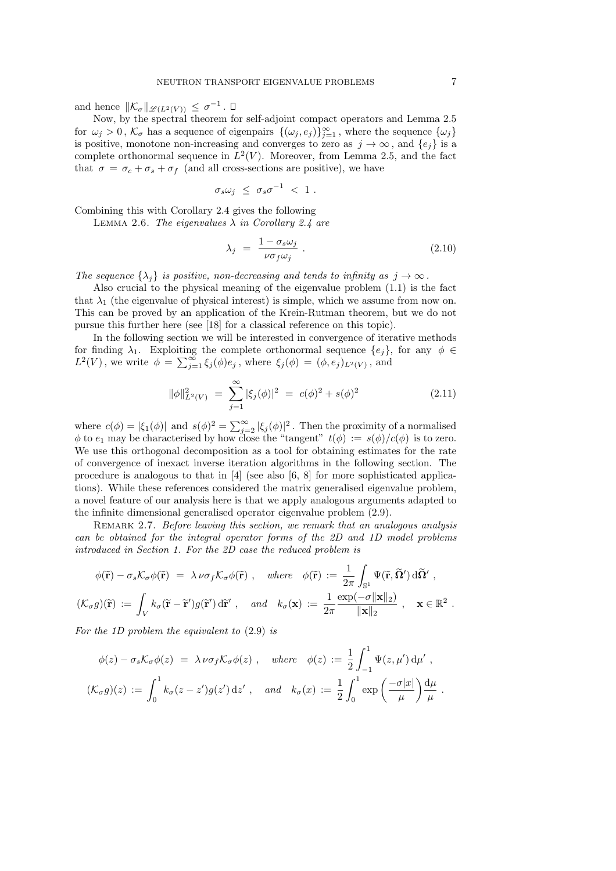and hence  $\|\mathcal{K}_{\sigma}\|_{\mathscr{L}(L^2(V))} \leq \sigma^{-1}$ .

Now, by the spectral theorem for self-adjoint compact operators and Lemma 2.5 for  $\omega_j > 0$ ,  $\mathcal{K}_{\sigma}$  has a sequence of eigenpairs  $\{(\omega_j, e_j)\}_{j=1}^{\infty}$ , where the sequence  $\{\omega_j\}$ is positive, monotone non-increasing and converges to zero as  $j \to \infty$ , and  $\{e_j\}$  is a complete orthonormal sequence in  $L^2(V)$ . Moreover, from Lemma 2.5, and the fact that  $\sigma = \sigma_c + \sigma_s + \sigma_f$  (and all cross-sections are positive), we have

$$
\sigma_s \omega_j \leq \sigma_s \sigma^{-1} \, < \, 1 \; .
$$

Combining this with Corollary 2.4 gives the following

LEMMA 2.6. The eigenvalues  $\lambda$  in Corollary 2.4 are

$$
\lambda_j = \frac{1 - \sigma_s \omega_j}{\nu \sigma_f \omega_j} \tag{2.10}
$$

The sequence  $\{\lambda_j\}$  is positive, non-decreasing and tends to infinity as  $j \to \infty$ .

Also crucial to the physical meaning of the eigenvalue problem (1.1) is the fact that  $\lambda_1$  (the eigenvalue of physical interest) is simple, which we assume from now on. This can be proved by an application of the Krein-Rutman theorem, but we do not pursue this further here (see [18] for a classical reference on this topic).

In the following section we will be interested in convergence of iterative methods for finding  $\lambda_1$ . Exploiting the complete orthonormal sequence  $\{e_i\}$ , for any  $\phi \in$  $L^2(V)$ , we write  $\phi = \sum_{j=1}^{\infty} \xi_j(\phi)e_j$ , where  $\xi_j(\phi) = (\phi, e_j)_{L^2(V)}$ , and

$$
\|\phi\|_{L^2(V)}^2 = \sum_{j=1}^{\infty} |\xi_j(\phi)|^2 = c(\phi)^2 + s(\phi)^2 \tag{2.11}
$$

where  $c(\phi) = |\xi_1(\phi)|$  and  $s(\phi)^2 = \sum_{j=2}^{\infty} |\xi_j(\phi)|^2$ . Then the proximity of a normalised  $\phi$  to  $e_1$  may be characterised by how close the "tangent"  $t(\phi) := s(\phi)/c(\phi)$  is to zero. We use this orthogonal decomposition as a tool for obtaining estimates for the rate of convergence of inexact inverse iteration algorithms in the following section. The procedure is analogous to that in [4] (see also [6, 8] for more sophisticated applications). While these references considered the matrix generalised eigenvalue problem, a novel feature of our analysis here is that we apply analogous arguments adapted to the infinite dimensional generalised operator eigenvalue problem (2.9).

REMARK 2.7. Before leaving this section, we remark that an analogous analysis can be obtained for the integral operator forms of the 2D and 1D model problems introduced in Section 1. For the 2D case the reduced problem is

$$
\phi(\tilde{\mathbf{r}}) - \sigma_s \mathcal{K}_{\sigma} \phi(\tilde{\mathbf{r}}) = \lambda \nu \sigma_f \mathcal{K}_{\sigma} \phi(\tilde{\mathbf{r}}) , \quad \text{where} \quad \phi(\tilde{\mathbf{r}}) := \frac{1}{2\pi} \int_{\mathbb{S}^1} \Psi(\tilde{\mathbf{r}}, \tilde{\mathbf{\Omega}}') d\tilde{\mathbf{\Omega}}' ,
$$
  

$$
(\mathcal{K}_{\sigma} g)(\tilde{\mathbf{r}}) := \int_V k_{\sigma} (\tilde{\mathbf{r}} - \tilde{\mathbf{r}}') g(\tilde{\mathbf{r}}') d\tilde{\mathbf{r}}' , \quad \text{and} \quad k_{\sigma}(\mathbf{x}) := \frac{1}{2\pi} \frac{\exp(-\sigma ||\mathbf{x}||_2)}{||\mathbf{x}||_2} , \quad \mathbf{x} \in \mathbb{R}^2
$$

For the 1D problem the equivalent to (2.9) is

$$
\phi(z) - \sigma_s \mathcal{K}_\sigma \phi(z) = \lambda \nu \sigma_f \mathcal{K}_\sigma \phi(z) , \quad \text{where} \quad \phi(z) := \frac{1}{2} \int_{-1}^1 \Psi(z, \mu') d\mu' ,
$$
  

$$
(\mathcal{K}_\sigma g)(z) := \int_0^1 k_\sigma(z - z') g(z') d z' , \quad \text{and} \quad k_\sigma(x) := \frac{1}{2} \int_0^1 \exp\left(\frac{-\sigma |x|}{\mu}\right) \frac{d\mu}{\mu} .
$$

.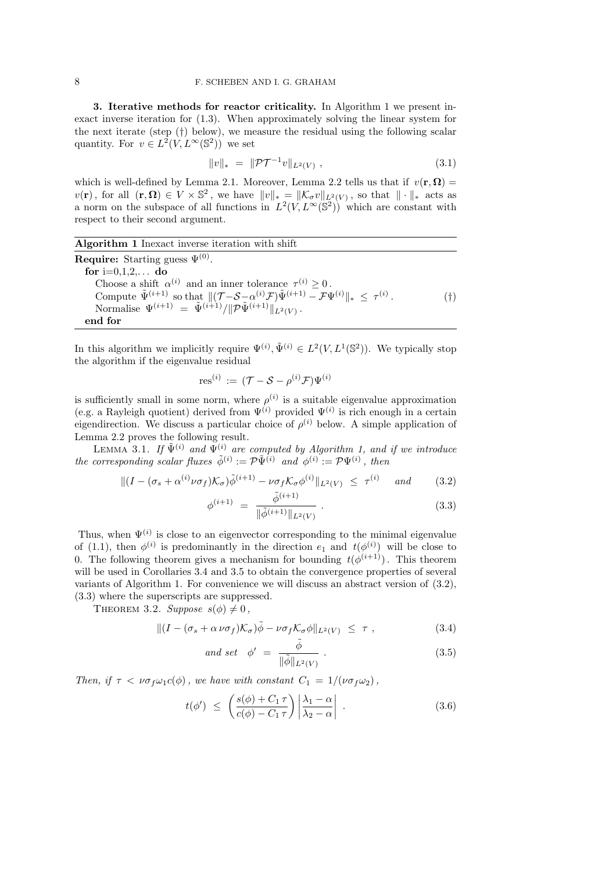3. Iterative methods for reactor criticality. In Algorithm 1 we present inexact inverse iteration for (1.3). When approximately solving the linear system for the next iterate (step (†) below), we measure the residual using the following scalar quantity. For  $v \in L^2(V, L^{\infty}(\mathbb{S}^2))$  we set

$$
||v||_* = ||\mathcal{PT}^{-1}v||_{L^2(V)}, \qquad (3.1)
$$

which is well-defined by Lemma 2.1. Moreover, Lemma 2.2 tells us that if  $v(\mathbf{r}, \mathbf{\Omega}) =$  $v(\mathbf{r})$ , for all  $(\mathbf{r}, \mathbf{\Omega}) \in V \times \mathbb{S}^2$ , we have  $||v||_* = ||\mathcal{K}_{\sigma}v||_{L^2(V)}$ , so that  $||\cdot||_*$  acts as a norm on the subspace of all functions in  $L^2(V, L^\infty(\mathbb{S}^2))$  which are constant with respect to their second argument.

| <b>Algorithm 1</b> Inexact inverse iteration with shift                                                                                                       |     |
|---------------------------------------------------------------------------------------------------------------------------------------------------------------|-----|
| <b>Require:</b> Starting guess $\Psi^{(0)}$ .                                                                                                                 |     |
| for $i=0,1,2,$ do                                                                                                                                             |     |
| Choose a shift $\alpha^{(i)}$ and an inner tolerance $\tau^{(i)} > 0$ .                                                                                       |     |
| Compute $\tilde{\Psi}^{(i+1)}$ so that $\ (\mathcal{T}-\mathcal{S}-\alpha^{(i)}\mathcal{F})\tilde{\Psi}^{(i+1)} - \mathcal{F}\Psi^{(i)}\ _{*} < \tau^{(i)}$ . | (†) |
| Normalise $\Psi^{(i+1)} = \tilde{\Psi}^{(i+1)}/\ \mathcal{P}\tilde{\Psi}^{(i+1)}\ _{L^2(V)}$ .                                                                |     |
| end for                                                                                                                                                       |     |

In this algorithm we implicitly require  $\Psi^{(i)}$ ,  $\tilde{\Psi}^{(i)} \in L^2(V, L^1(\mathbb{S}^2))$ . We typically stop the algorithm if the eigenvalue residual

$$
\text{res}^{(i)} := (\mathcal{T} - \mathcal{S} - \rho^{(i)} \mathcal{F}) \Psi^{(i)}
$$

is sufficiently small in some norm, where  $\rho^{(i)}$  is a suitable eigenvalue approximation (e.g. a Rayleigh quotient) derived from  $\Psi^{(i)}$  provided  $\Psi^{(i)}$  is rich enough in a certain eigendirection. We discuss a particular choice of  $\rho^{(i)}$  below. A simple application of Lemma 2.2 proves the following result.

LEMMA 3.1. If  $\tilde{\Psi}^{(i)}$  and  $\Psi^{(i)}$  are computed by Algorithm 1, and if we introduce the corresponding scalar fluxes  $\tilde{\phi}^{(i)} := \mathcal{P}\tilde{\Psi}^{(i)}$  and  $\phi^{(i)} := \mathcal{P}\Psi^{(i)}$ , then

$$
\|(I - (\sigma_s + \alpha^{(i)}\nu\sigma_f)\mathcal{K}_\sigma)\tilde{\phi}^{(i+1)} - \nu\sigma_f\mathcal{K}_\sigma\phi^{(i)}\|_{L^2(V)} \leq \tau^{(i)} \quad \text{and} \tag{3.2}
$$

$$
^{(i+1)} = \frac{\tilde{\phi}^{(i+1)}}{\|\tilde{\phi}^{(i+1)}\|_{L^2(V)}}.
$$
\n(3.3)

Thus, when  $\Psi^{(i)}$  is close to an eigenvector corresponding to the minimal eigenvalue of (1.1), then  $\phi^{(i)}$  is predominantly in the direction  $e_1$  and  $t(\phi^{(i)})$  will be close to 0. The following theorem gives a mechanism for bounding  $t(\phi^{(i+1)})$ . This theorem will be used in Corollaries 3.4 and 3.5 to obtain the convergence properties of several variants of Algorithm 1. For convenience we will discuss an abstract version of (3.2), (3.3) where the superscripts are suppressed.

THEOREM 3.2. Suppose  $s(\phi) \neq 0$ ,

$$
\| (I - (\sigma_s + \alpha \nu \sigma_f) \mathcal{K}_\sigma) \tilde{\phi} - \nu \sigma_f \mathcal{K}_\sigma \phi \|_{L^2(V)} \leq \tau , \qquad (3.4)
$$

and set 
$$
\phi' = \frac{\tilde{\phi}}{\|\tilde{\phi}\|_{L^2(V)}}
$$
. (3.5)

Then, if  $\tau < \nu \sigma_f \omega_1 c(\phi)$ , we have with constant  $C_1 = 1/(\nu \sigma_f \omega_2)$ ,

φ

$$
t(\phi') \le \left( \frac{s(\phi) + C_1 \tau}{c(\phi) - C_1 \tau} \right) \left| \frac{\lambda_1 - \alpha}{\lambda_2 - \alpha} \right| . \tag{3.6}
$$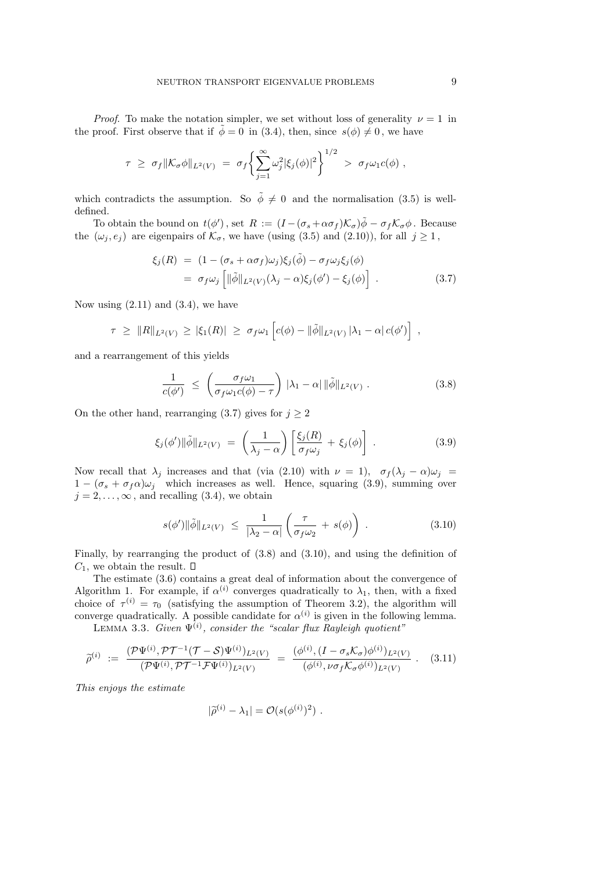*Proof.* To make the notation simpler, we set without loss of generality  $\nu = 1$  in the proof. First observe that if  $\phi = 0$  in (3.4), then, since  $s(\phi) \neq 0$ , we have

$$
\tau \geq \sigma_f \|\mathcal{K}_{\sigma}\phi\|_{L^2(V)} = \sigma_f \bigg\{ \sum_{j=1}^{\infty} \omega_j^2 |\xi_j(\phi)|^2 \bigg\}^{1/2} > \sigma_f \omega_1 c(\phi) ,
$$

which contradicts the assumption. So  $\tilde{\phi} \neq 0$  and the normalisation (3.5) is welldefined.

To obtain the bound on  $t(\phi')$ , set  $R := (I - (\sigma_s + \alpha \sigma_f) \mathcal{K}_\sigma) \tilde{\phi} - \sigma_f \mathcal{K}_\sigma \phi$ . Because the  $(\omega_j, e_j)$  are eigenpairs of  $\mathcal{K}_{\sigma}$ , we have (using (3.5) and (2.10)), for all  $j \geq 1$ ,

$$
\xi_j(R) = (1 - (\sigma_s + \alpha \sigma_f)\omega_j)\xi_j(\tilde{\phi}) - \sigma_f \omega_j \xi_j(\phi)
$$
  
=  $\sigma_f \omega_j \left[ ||\tilde{\phi}||_{L^2(V)}(\lambda_j - \alpha)\xi_j(\phi') - \xi_j(\phi) \right]$ . (3.7)

Now using  $(2.11)$  and  $(3.4)$ , we have

$$
\tau \geq \|R\|_{L^2(V)} \geq |\xi_1(R)| \geq \sigma_f \omega_1 \left[ c(\phi) - \|\tilde{\phi}\|_{L^2(V)} |\lambda_1 - \alpha| c(\phi') \right]
$$

and a rearrangement of this yields

$$
\frac{1}{c(\phi')} \leq \left(\frac{\sigma_f \omega_1}{\sigma_f \omega_1 c(\phi) - \tau}\right) |\lambda_1 - \alpha| \|\tilde{\phi}\|_{L^2(V)}.
$$
\n(3.8)

On the other hand, rearranging (3.7) gives for  $j \geq 2$ 

$$
\xi_j(\phi') \|\tilde{\phi}\|_{L^2(V)} = \left(\frac{1}{\lambda_j - \alpha}\right) \left[\frac{\xi_j(R)}{\sigma_f \omega_j} + \xi_j(\phi)\right]. \tag{3.9}
$$

Now recall that  $\lambda_j$  increases and that (via (2.10) with  $\nu = 1$ ,  $\sigma_f(\lambda_j - \alpha)\omega_j =$  $1 - (\sigma_s + \sigma_f \alpha) \omega_i$  which increases as well. Hence, squaring (3.9), summing over  $j = 2, \ldots, \infty$ , and recalling (3.4), we obtain

$$
s(\phi')\|\tilde{\phi}\|_{L^2(V)} \leq \frac{1}{|\lambda_2 - \alpha|} \left(\frac{\tau}{\sigma_f \omega_2} + s(\phi)\right) . \tag{3.10}
$$

Finally, by rearranging the product of (3.8) and (3.10), and using the definition of  $C_1$ , we obtain the result.  $\square$ 

The estimate (3.6) contains a great deal of information about the convergence of Algorithm 1. For example, if  $\alpha^{(i)}$  converges quadratically to  $\lambda_1$ , then, with a fixed choice of  $\tau^{(i)} = \tau_0$  (satisfying the assumption of Theorem 3.2), the algorithm will converge quadratically. A possible candidate for  $\alpha^{(i)}$  is given in the following lemma.

LEMMA 3.3. Given  $\Psi^{(i)}$ , consider the "scalar flux Rayleigh quotient"

$$
\widetilde{\rho}^{(i)} := \frac{(\mathcal{P}\Psi^{(i)}, \mathcal{P}\mathcal{T}^{-1}(\mathcal{T}-\mathcal{S})\Psi^{(i)})_{L^2(V)}}{(\mathcal{P}\Psi^{(i)}, \mathcal{P}\mathcal{T}^{-1}\mathcal{F}\Psi^{(i)})_{L^2(V)}} = \frac{(\phi^{(i)}, (I-\sigma_s\mathcal{K}_{\sigma})\phi^{(i)})_{L^2(V)}}{(\phi^{(i)}, \nu\sigma_f\mathcal{K}_{\sigma}\phi^{(i)})_{L^2(V)}}.
$$
(3.11)

This enjoys the estimate

$$
|\widetilde{\rho}^{(i)} - \lambda_1| = \mathcal{O}(s(\phi^{(i)})^2) .
$$

,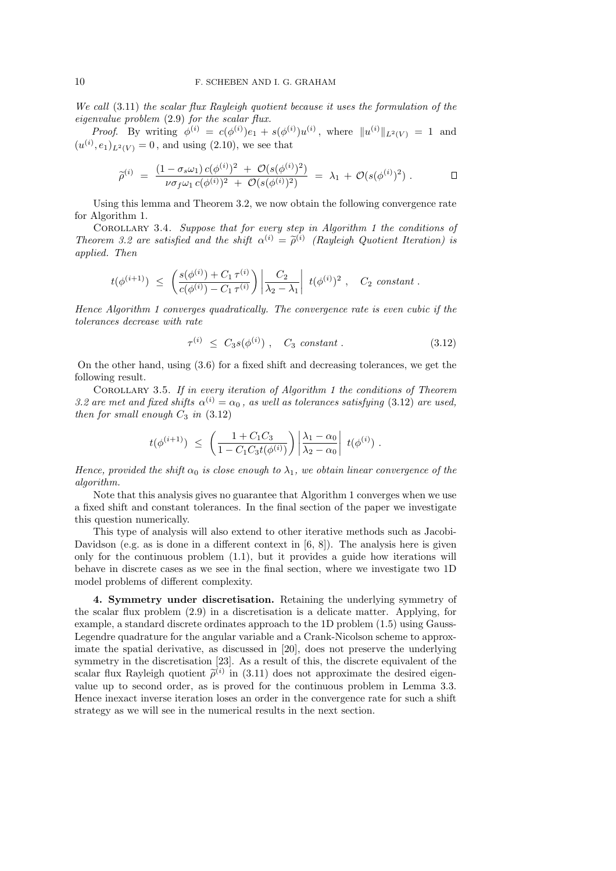We call (3.11) the scalar flux Rayleigh quotient because it uses the formulation of the eigenvalue problem (2.9) for the scalar flux.

*Proof.* By writing  $\phi^{(i)} = c(\phi^{(i)})e_1 + s(\phi^{(i)})u^{(i)}$ , where  $||u^{(i)}||_{L^2(V)} = 1$  and  $(u^{(i)}, e_1)_{L^2(V)} = 0$ , and using (2.10), we see that

$$
\widetilde{\rho}^{(i)} \; = \; \frac{(1-\sigma_s\omega_1)\,c(\phi^{(i)})^2 \; + \; \mathcal{O}(s(\phi^{(i)})^2)}{\nu\sigma_f\omega_1\,c(\phi^{(i)})^2 \; + \; \mathcal{O}(s(\phi^{(i)})^2)} \; = \; \lambda_1 \, + \, \mathcal{O}(s(\phi^{(i)})^2) \; . \qquad \Box
$$

Using this lemma and Theorem 3.2, we now obtain the following convergence rate for Algorithm 1.

Corollary 3.4. Suppose that for every step in Algorithm 1 the conditions of Theorem 3.2 are satisfied and the shift  $\alpha^{(i)} = \tilde{\rho}^{(i)}$  (Rayleigh Quotient Iteration) is applied. Then

$$
t(\phi^{(i+1)}) \ \leq \ \left(\frac{s(\phi^{(i)})+C_1\,\tau^{(i)}}{c(\phi^{(i)})-C_1\,\tau^{(i)}}\right)\left|\frac{C_2}{\lambda_2-\lambda_1}\right|\ t(\phi^{(i)})^2\ , \quad C_2\ constant\ .
$$

Hence Algorithm 1 converges quadratically. The convergence rate is even cubic if the tolerances decrease with rate

$$
\tau^{(i)} \leq C_3 s(\phi^{(i)}) \ , \quad C_3 \ constant \ . \tag{3.12}
$$

On the other hand, using (3.6) for a fixed shift and decreasing tolerances, we get the following result.

Corollary 3.5. If in every iteration of Algorithm 1 the conditions of Theorem 3.2 are met and fixed shifts  $\alpha^{(i)} = \alpha_0$ , as well as tolerances satisfying (3.12) are used, then for small enough  $C_3$  in  $(3.12)$ 

$$
t(\phi^{(i+1)}) \ \leq \ \left( \frac{1+C_1C_3}{1-C_1C_3t(\phi^{(i)})} \right) \left| \frac{\lambda_1-\alpha_0}{\lambda_2-\alpha_0} \right| \ t(\phi^{(i)}) \ .
$$

Hence, provided the shift  $\alpha_0$  is close enough to  $\lambda_1$ , we obtain linear convergence of the algorithm.

Note that this analysis gives no guarantee that Algorithm 1 converges when we use a fixed shift and constant tolerances. In the final section of the paper we investigate this question numerically.

This type of analysis will also extend to other iterative methods such as Jacobi-Davidson (e.g. as is done in a different context in  $(6, 8)$ ). The analysis here is given only for the continuous problem (1.1), but it provides a guide how iterations will behave in discrete cases as we see in the final section, where we investigate two 1D model problems of different complexity.

4. Symmetry under discretisation. Retaining the underlying symmetry of the scalar flux problem (2.9) in a discretisation is a delicate matter. Applying, for example, a standard discrete ordinates approach to the 1D problem (1.5) using Gauss-Legendre quadrature for the angular variable and a Crank-Nicolson scheme to approximate the spatial derivative, as discussed in [20], does not preserve the underlying symmetry in the discretisation [23]. As a result of this, the discrete equivalent of the scalar flux Rayleigh quotient  $\tilde{\rho}^{(i)}$  in (3.11) does not approximate the desired eigenvalue up to second order, as is proved for the continuous problem in Lemma 3.3. Hence inexact inverse iteration loses an order in the convergence rate for such a shift strategy as we will see in the numerical results in the next section.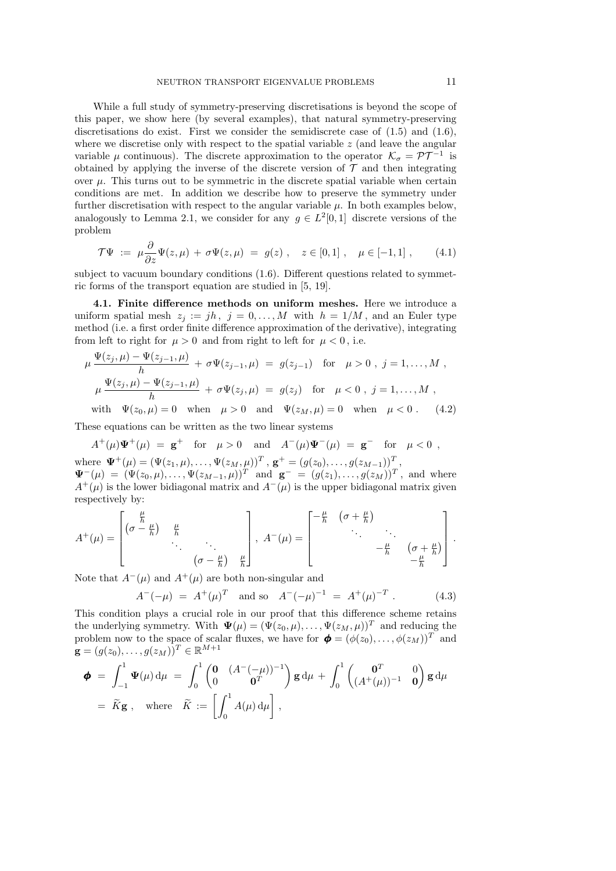While a full study of symmetry-preserving discretisations is beyond the scope of this paper, we show here (by several examples), that natural symmetry-preserving discretisations do exist. First we consider the semidiscrete case of  $(1.5)$  and  $(1.6)$ , where we discretise only with respect to the spatial variable  $z$  (and leave the angular variable  $\mu$  continuous). The discrete approximation to the operator  $\mathcal{K}_{\sigma} = \mathcal{PT}^{-1}$  is obtained by applying the inverse of the discrete version of  $\mathcal T$  and then integrating over  $\mu$ . This turns out to be symmetric in the discrete spatial variable when certain conditions are met. In addition we describe how to preserve the symmetry under further discretisation with respect to the angular variable  $\mu$ . In both examples below, analogously to Lemma 2.1, we consider for any  $g \in L^2[0,1]$  discrete versions of the problem

$$
\mathcal{T}\Psi := \mu \frac{\partial}{\partial z} \Psi(z,\mu) + \sigma \Psi(z,\mu) = g(z) , \quad z \in [0,1] , \quad \mu \in [-1,1] , \qquad (4.1)
$$

subject to vacuum boundary conditions (1.6). Different questions related to symmetric forms of the transport equation are studied in [5, 19].

4.1. Finite difference methods on uniform meshes. Here we introduce a uniform spatial mesh  $z_i := jh$ ,  $j = 0, \ldots, M$  with  $h = 1/M$ , and an Euler type method (i.e. a first order finite difference approximation of the derivative), integrating from left to right for  $\mu > 0$  and from right to left for  $\mu < 0$ , i.e.

$$
\mu \frac{\Psi(z_j, \mu) - \Psi(z_{j-1}, \mu)}{h} + \sigma \Psi(z_{j-1}, \mu) = g(z_{j-1}) \text{ for } \mu > 0, j = 1, ..., M,
$$
  
\n
$$
\mu \frac{\Psi(z_j, \mu) - \Psi(z_{j-1}, \mu)}{h} + \sigma \Psi(z_j, \mu) = g(z_j) \text{ for } \mu < 0, j = 1, ..., M,
$$
  
\nwith  $\Psi(z_0, \mu) = 0$  when  $\mu > 0$  and  $\Psi(z_M, \mu) = 0$  when  $\mu < 0$ . (4.2)

These equations can be written as the two linear systems

$$
A^+(\mu)\Psi^+(\mu) = \mathbf{g}^+
$$
 for  $\mu > 0$  and  $A^-(\mu)\Psi^-(\mu) = \mathbf{g}^-$  for  $\mu < 0$ , where  $\Psi^+(\mu) = (\Psi(z_1, \mu), \ldots, \Psi(z_M, \mu))^T$ ,  $\mathbf{g}^+ = (g(z_0), \ldots, g(z_{M-1}))^T$ ,  $\Psi^-(\mu) = (\Psi(z_0, \mu), \ldots, \Psi(z_{M-1}, \mu))^T$  and  $\mathbf{g}^- = (g(z_1), \ldots, g(z_M))^T$ , and where  $A^+(\mu)$  is the lower bidiagonal matrix and  $A^-(\mu)$  is the upper bidiagonal matrix given respectively by:

$$
A^{+}(\mu) = \begin{bmatrix} \frac{\mu}{h} & & \mu \\ (\sigma - \frac{\mu}{h}) & \frac{\mu}{h} & & \\ & \ddots & \ddots & \\ & & (\sigma - \frac{\mu}{h}) & \frac{\mu}{h} \end{bmatrix}, \ A^{-}(\mu) = \begin{bmatrix} -\frac{\mu}{h} & (\sigma + \frac{\mu}{h}) & & \\ & \ddots & \ddots & \\ & & -\frac{\mu}{h} & (\sigma + \frac{\mu}{h}) \end{bmatrix}.
$$

Note that  $A^{-}(\mu)$  and  $A^{+}(\mu)$  are both non-singular and

$$
A^{-}(-\mu) = A^{+}(\mu)^{T} \text{ and so } A^{-}(-\mu)^{-1} = A^{+}(\mu)^{-T}. \qquad (4.3)
$$

This condition plays a crucial role in our proof that this difference scheme retains the underlying symmetry. With  $\Psi(\mu) = (\Psi(z_0, \mu), \dots, \Psi(z_M, \mu))^T$  and reducing the problem now to the space of scalar fluxes, we have for  $\boldsymbol{\phi} = (\phi(z_0), \dots, \phi(z_M))^T$  and  $\mathbf{g} = (g(z_0), \ldots, g(z_M))^T \in \mathbb{R}^{M+1}$ 

$$
\boldsymbol{\phi} = \int_{-1}^{1} \boldsymbol{\Psi}(\mu) d\mu = \int_{0}^{1} \begin{pmatrix} \mathbf{0} & (A^{-}(-\mu))^{-1} \\ 0 & \mathbf{0}^T \end{pmatrix} \mathbf{g} d\mu + \int_{0}^{1} \begin{pmatrix} \mathbf{0}^T & 0 \\ (A^{+}(\mu))^{-1} & \mathbf{0} \end{pmatrix} \mathbf{g} d\mu
$$
\n
$$
= \widetilde{K} \mathbf{g} \ , \quad \text{where} \quad \widetilde{K} := \begin{bmatrix} \int_0^1 A(\mu) d\mu \end{bmatrix} \ ,
$$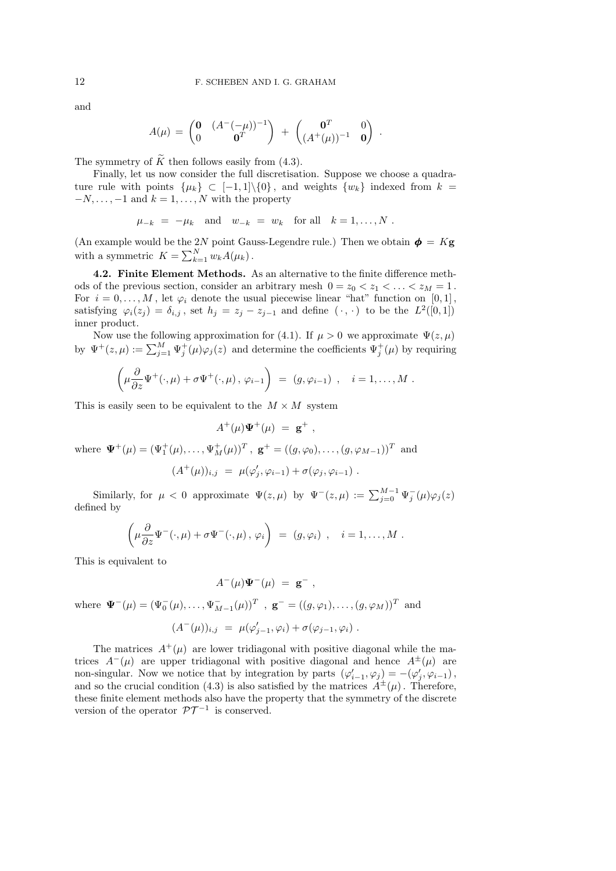and

$$
A(\mu) = \begin{pmatrix} \mathbf{0} & (A^-(-\mu))^{-1} \\ 0 & \mathbf{0}^T \end{pmatrix} + \begin{pmatrix} \mathbf{0}^T & 0 \\ (A^+(\mu))^{-1} & \mathbf{0} \end{pmatrix}.
$$

The symmetry of  $\widetilde{K}$  then follows easily from (4.3).

Finally, let us now consider the full discretisation. Suppose we choose a quadrature rule with points  $\{\mu_k\} \subset [-1,1]\setminus\{0\}$ , and weights  $\{w_k\}$  indexed from  $k =$  $-N, \ldots, -1$  and  $k = 1, \ldots, N$  with the property

$$
\mu_{-k} = -\mu_k \quad \text{and} \quad w_{-k} = w_k \quad \text{for all} \quad k = 1, \dots, N \; .
$$

(An example would be the 2N point Gauss-Legendre rule.) Then we obtain  $\boldsymbol{\phi} = K \mathbf{g}$ with a symmetric  $K = \sum_{k=1}^{N} w_k A(\mu_k)$ .

4.2. Finite Element Methods. As an alternative to the finite difference methods of the previous section, consider an arbitrary mesh  $0 = z_0 < z_1 < \ldots < z_M = 1$ . For  $i = 0, \ldots, M$ , let  $\varphi_i$  denote the usual piecewise linear "hat" function on [0,1], satisfying  $\varphi_i(z_j) = \delta_{i,j}$ , set  $h_j = z_j - z_{j-1}$  and define  $(\cdot, \cdot)$  to be the  $L^2([0,1])$ inner product.

Now use the following approximation for (4.1). If  $\mu > 0$  we approximate  $\Psi(z, \mu)$ by  $\Psi^+(z,\mu) := \sum_{j=1}^M \Psi_j^+(\mu) \varphi_j(z)$  and determine the coefficients  $\Psi_j^+(\mu)$  by requiring

$$
\left(\mu \frac{\partial}{\partial z} \Psi^+(\cdot,\mu) + \sigma \Psi^+(\cdot,\mu), \varphi_{i-1}\right) = (g, \varphi_{i-1}), \quad i = 1, \dots, M.
$$

This is easily seen to be equivalent to the  $M \times M$  system

$$
A^+(\mu)\Psi^+(\mu) = \mathbf{g}^+ ,
$$

where  $\Psi^+(\mu) = (\Psi_1^+(\mu), \dots, \Psi_M^+(\mu))^T$ ,  $\mathbf{g}^+ = ((g, \varphi_0), \dots, (g, \varphi_{M-1}))^T$  and

$$
(A^+(\mu))_{i,j} = \mu(\varphi'_j, \varphi_{i-1}) + \sigma(\varphi_j, \varphi_{i-1}).
$$

Similarly, for  $\mu < 0$  approximate  $\Psi(z,\mu)$  by  $\Psi^-(z,\mu) := \sum_{j=0}^{M-1} \Psi_j^ ^{-}_{j}(\mu)\varphi_{j}(z)$ defined by

$$
\left(\mu \frac{\partial}{\partial z} \Psi^-(\cdot,\mu) + \sigma \Psi^-(\cdot,\mu), \varphi_i\right) = (g,\varphi_i) , \quad i = 1,\ldots,M.
$$

This is equivalent to

$$
A^-(\mu)\Psi^-(\mu) = \mathbf{g}^- ,
$$

where  $\Psi^-(\mu) = (\Psi_0^-(\mu), \dots, \Psi_{M-1}^-(\mu))^T$ ,  $\mathbf{g}^- = ((g, \varphi_1), \dots, (g, \varphi_M))^T$  and

$$
(A^-(\mu))_{i,j} = \mu(\varphi'_{j-1}, \varphi_i) + \sigma(\varphi_{j-1}, \varphi_i).
$$

The matrices  $A^+(\mu)$  are lower tridiagonal with positive diagonal while the matrices  $A^{-}(\mu)$  are upper tridiagonal with positive diagonal and hence  $A^{\pm}(\mu)$  are non-singular. Now we notice that by integration by parts  $(\varphi'_{i-1}, \varphi_i) = -(\varphi'_j, \varphi_{i-1}),$ and so the crucial condition (4.3) is also satisfied by the matrices  $A^{\pm}(\mu)$ . Therefore, these finite element methods also have the property that the symmetry of the discrete version of the operator  $\mathcal{PT}^{-1}$  is conserved.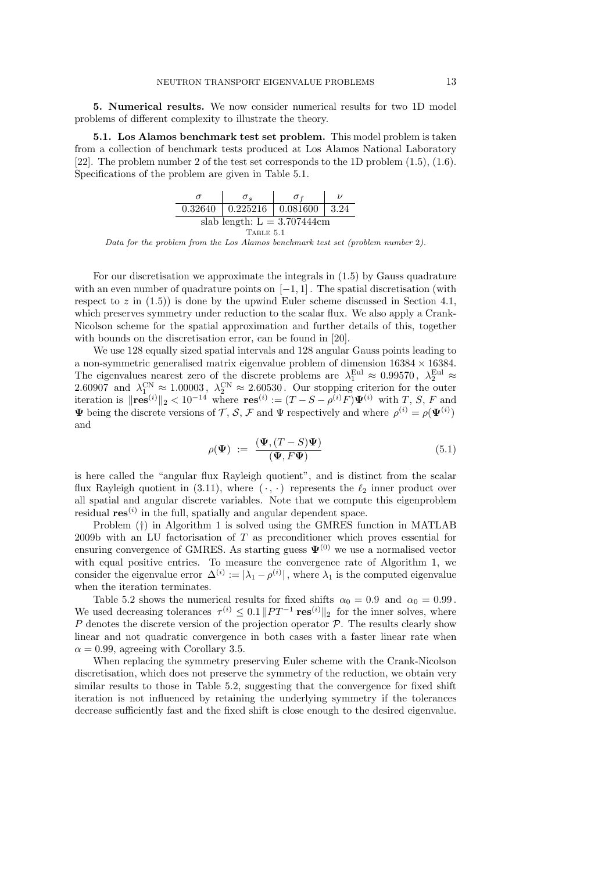5. Numerical results. We now consider numerical results for two 1D model problems of different complexity to illustrate the theory.

5.1. Los Alamos benchmark test set problem. This model problem is taken from a collection of benchmark tests produced at Los Alamos National Laboratory [22]. The problem number 2 of the test set corresponds to the 1D problem (1.5), (1.6). Specifications of the problem are given in Table 5.1.

|                                | $\sigma_{\rm c}$ |                                              |  |  |  |  |  |  |
|--------------------------------|------------------|----------------------------------------------|--|--|--|--|--|--|
|                                |                  | $0.32640$   $0.225216$   $0.081600$   $3.24$ |  |  |  |  |  |  |
| slab length: $L = 3.707444$ cm |                  |                                              |  |  |  |  |  |  |
| TABLE 5.1                      |                  |                                              |  |  |  |  |  |  |

Data for the problem from the Los Alamos benchmark test set (problem number 2).

For our discretisation we approximate the integrals in (1.5) by Gauss quadrature with an even number of quadrature points on  $[-1, 1]$ . The spatial discretisation (with respect to  $z$  in  $(1.5)$ ) is done by the upwind Euler scheme discussed in Section 4.1, which preserves symmetry under reduction to the scalar flux. We also apply a Crank-Nicolson scheme for the spatial approximation and further details of this, together with bounds on the discretisation error, can be found in [20].

We use 128 equally sized spatial intervals and 128 angular Gauss points leading to a non-symmetric generalised matrix eigenvalue problem of dimension  $16384 \times 16384$ . The eigenvalues nearest zero of the discrete problems are  $\lambda_1^{\text{Eul}} \approx 0.99570$ ,  $\lambda_2^{\text{Eul}} \approx$ 2.60907 and  $\lambda_1^{\text{CN}} \approx 1.00003$ ,  $\lambda_2^{\text{CN}} \approx 2.60530$ . Our stopping criterion for the outer iteration is  $\|\mathbf{res}^{(i)}\|_2 < 10^{-14}$  where  $\mathbf{res}^{(i)} := (T - S - \rho^{(i)}F)\mathbf{\Psi}^{(i)}$  with T, S, F and  $\Psi$  being the discrete versions of  $\mathcal{T}, \mathcal{S}, \mathcal{F}$  and  $\Psi$  respectively and where  $\rho^{(i)} = \rho(\Psi^{(i)})$ and

$$
\rho(\Psi) := \frac{(\Psi, (T - S)\Psi)}{(\Psi, F\Psi)} \tag{5.1}
$$

is here called the "angular flux Rayleigh quotient", and is distinct from the scalar flux Rayleigh quotient in (3.11), where  $(\cdot, \cdot)$  represents the  $\ell_2$  inner product over all spatial and angular discrete variables. Note that we compute this eigenproblem residual  $res^{(i)}$  in the full, spatially and angular dependent space.

Problem (†) in Algorithm 1 is solved using the GMRES function in MATLAB 2009b with an LU factorisation of  $T$  as preconditioner which proves essential for ensuring convergence of GMRES. As starting guess  $\Psi^{(0)}$  we use a normalised vector with equal positive entries. To measure the convergence rate of Algorithm 1, we consider the eigenvalue error  $\Delta^{(i)} := |\lambda_1 - \rho^{(i)}|$ , where  $\lambda_1$  is the computed eigenvalue when the iteration terminates.

Table 5.2 shows the numerical results for fixed shifts  $\alpha_0 = 0.9$  and  $\alpha_0 = 0.99$ . We used decreasing tolerances  $\tau^{(i)} \leq 0.1 ||PT^{-1} \text{ res}^{(i)}||_2$  for the inner solves, where  $P$  denotes the discrete version of the projection operator  $P$ . The results clearly show linear and not quadratic convergence in both cases with a faster linear rate when  $\alpha = 0.99$ , agreeing with Corollary 3.5.

When replacing the symmetry preserving Euler scheme with the Crank-Nicolson discretisation, which does not preserve the symmetry of the reduction, we obtain very similar results to those in Table 5.2, suggesting that the convergence for fixed shift iteration is not influenced by retaining the underlying symmetry if the tolerances decrease sufficiently fast and the fixed shift is close enough to the desired eigenvalue.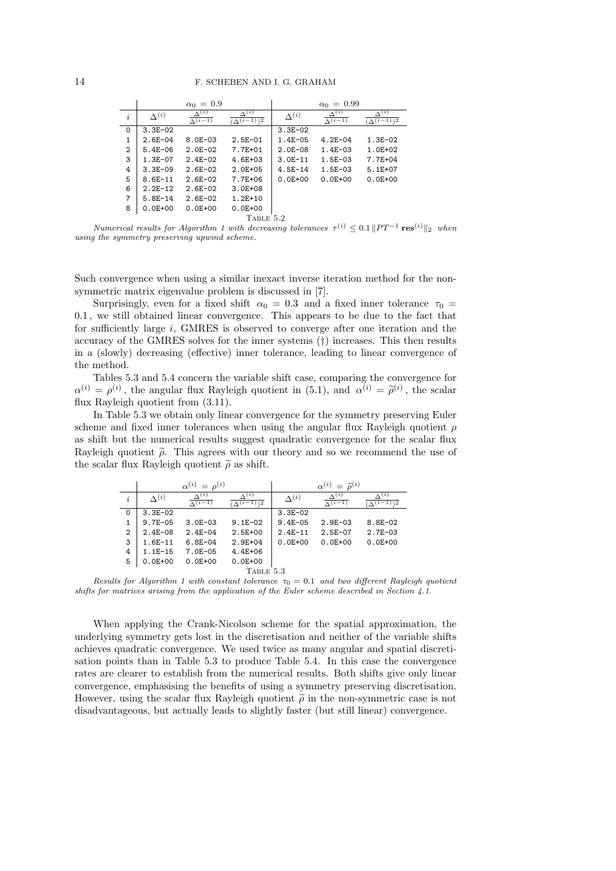|          |                 | $\alpha_0 = 0.9$                 |                                              |                 | $\alpha_0 = 0.99$                |                                                |
|----------|-----------------|----------------------------------|----------------------------------------------|-----------------|----------------------------------|------------------------------------------------|
| i        | $\Lambda^{(i)}$ | $\Delta^{(i)}$<br>$\Lambda(i-1)$ | $\Delta^{(i)}$<br>$\Delta(i-1)$ <sup>2</sup> | $\Lambda^{(i)}$ | $\Delta^{(i)}$<br>$\Lambda(i-1)$ | $\Delta^{(i)}$<br>$(\Delta(i-1))$ <sup>2</sup> |
| $\Omega$ | $3.3E - 02$     |                                  |                                              | $3.3E - 02$     |                                  |                                                |
| 1        | $2.6E - 04$     | $8.0E - 03$                      | $2.5E - 01$                                  | $1.4E - 05$     | $4.2E - 04$                      | $1.3E - 02$                                    |
| 2        | $5.4E - 06$     | $2.0E - 02$                      | 7.7E+01                                      | $2.0E - 08$     | $1.4E - 03$                      | $1.0E + 02$                                    |
| 3        | $1.3E - 07$     | $2.4E - 02$                      | $4.6E + 03$                                  | $3.0E - 11$     | $1.5E - 03$                      | 7.7E+04                                        |
| 4        | $3.3E - 09$     | $2.6E - 02$                      | $2.0E + 05$                                  | $4.5E - 14$     | $1.5E - 03$                      | $5.1E+07$                                      |
| 5        | $8.6E - 11$     | $2.6E - 02$                      | 7.7E+06                                      | $0.0E + 00$     | $0.0E + 00$                      | $0.0E + 00$                                    |
| 6        | $2.2E-12$       | $2.6E - 02$                      | $3.0E + 08$                                  |                 |                                  |                                                |
| 7        | $5.8E - 14$     | $2.6E - 02$                      | $1.2E + 10$                                  |                 |                                  |                                                |
| 8        | $0.0E + 00$     | $0.0E + 00$                      | $0.0E + 00$                                  |                 |                                  |                                                |
|          |                 |                                  | TABLE 5.2                                    |                 |                                  |                                                |

Numerical results for Algorithm 1 with decreasing tolerances  $\tau^{(i)} \leq 0.1 ||PT^{-1} \text{ res}^{(i)}||_2$  when using the symmetry preserving upwind scheme.

Such convergence when using a similar inexact inverse iteration method for the nonsymmetric matrix eigenvalue problem is discussed in [7].

Surprisingly, even for a fixed shift  $\alpha_0 = 0.3$  and a fixed inner tolerance  $\tau_0 =$ 0.1 , we still obtained linear convergence. This appears to be due to the fact that for sufficiently large  $i$ , GMRES is observed to converge after one iteration and the accuracy of the GMRES solves for the inner systems (†) increases. This then results in a (slowly) decreasing (effective) inner tolerance, leading to linear convergence of the method.

Tables 5.3 and 5.4 concern the variable shift case, comparing the convergence for  $\alpha^{(i)} = \rho^{(i)}$ , the angular flux Rayleigh quotient in (5.1), and  $\alpha^{(i)} = \tilde{\rho}^{(i)}$ , the scalar flux Rayleigh quotient from (3.11).

In Table 5.3 we obtain only linear convergence for the symmetry preserving Euler scheme and fixed inner tolerances when using the angular flux Rayleigh quotient  $\rho$ as shift but the numerical results suggest quadratic convergence for the scalar flux Rayleigh quotient  $\tilde{\rho}$ . This agrees with our theory and so we recommend the use of the scalar flux Rayleigh quotient  $\tilde{\rho}$  as shift.

|                |                 | $\alpha^{(i)} = \rho^{(i)}$       |                                  |                 | $\alpha^{(i)} = \tilde{\rho}^{(i)}$ |                                                  |
|----------------|-----------------|-----------------------------------|----------------------------------|-----------------|-------------------------------------|--------------------------------------------------|
| i              | $\Lambda^{(i)}$ | $\Lambda^{(i)}$<br>$\Lambda(i-1)$ | $\Lambda(i)$<br>$\sqrt{(i-1)/2}$ | $\Lambda^{(i)}$ | $\Lambda^{(i)}$<br>$\Lambda(i-1)$   | $\Lambda^{(i)}$<br>$\Lambda(i-1)$ $\overline{2}$ |
| $\Omega$       | $3.3E - 02$     |                                   |                                  | $3.3E - 02$     |                                     |                                                  |
|                | $9.7E - 05$     | $3.0E - 03$                       | $9.1E - 02$                      | $9.4E - 05$     | $2.9E - 03$                         | $8.8E - 02$                                      |
| $\overline{2}$ | $2.4E - 08$     | $2.4E - 04$                       | $2.5E+00$                        | $2.4E-11$       | $2.5E - 07$                         | $2.7E - 03$                                      |
| 3              | $1.6E-11$       | $6.8E - 04$                       | $2.9E + 04$                      | $0.0E + 00$     | $0.0E + 00$                         | $0.0E + 00$                                      |
| 4              | $1.1E-15$       | $7.0E - 05$                       | $4.4E + 06$                      |                 |                                     |                                                  |
| 5              | $0.0E + 00$     | $0.0E + 00$                       | $0.0E + 00$                      |                 |                                     |                                                  |
|                |                 |                                   | TABLE 5.3                        |                 |                                     |                                                  |

Results for Algorithm 1 with constant tolerance  $\tau_0 = 0.1$  and two different Rayleigh quotient shifts for matrices arising from the application of the Euler scheme described in Section 4.1.

When applying the Crank-Nicolson scheme for the spatial approximation, the underlying symmetry gets lost in the discretisation and neither of the variable shifts achieves quadratic convergence. We used twice as many angular and spatial discretisation points than in Table 5.3 to produce Table 5.4. In this case the convergence rates are clearer to establish from the numerical results. Both shifts give only linear convergence, emphasising the benefits of using a symmetry preserving discretisation. However, using the scalar flux Rayleigh quotient  $\tilde{\rho}$  in the non-symmetric case is not disadvantageous, but actually leads to slightly faster (but still linear) convergence.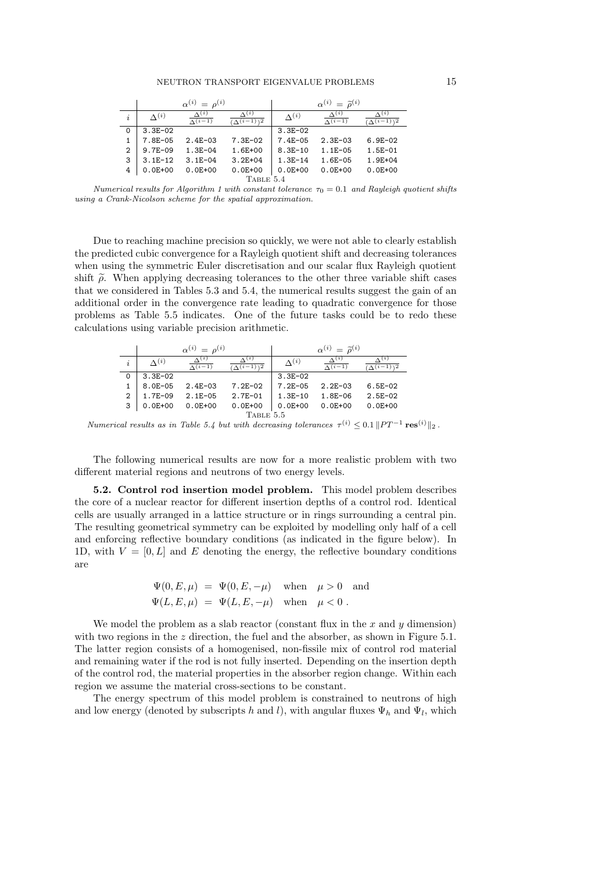|               |                 | $n^{(i)}$<br>$\alpha^{(i)} =$  |                               |                 | $\alpha^{(i)} = \tilde{\rho}^{(i)}$ |                                                |
|---------------|-----------------|--------------------------------|-------------------------------|-----------------|-------------------------------------|------------------------------------------------|
| $\dot{i}$     | $\Lambda^{(i)}$ | $\Lambda(i)$<br>$\Lambda(i-1)$ | (i)<br>$\sqrt{\Delta(i-1)/2}$ | $\Lambda^{(i)}$ | $\Lambda^{(i)}$<br>$\Lambda(i-1)$   | $\Lambda^{(i)}$<br>$\Lambda(i-1)$ <sup>2</sup> |
| 0             | $3.3E - 02$     |                                |                               | $3.3E - 02$     |                                     |                                                |
|               | 7.8E-05         | $2.4E - 03$                    | $7.3E - 02$                   | $7.4E - 05$     | $2.3E - 03$                         | $6.9E - 02$                                    |
| $\mathcal{D}$ | $9.7E - 09$     | $1.3E - 04$                    | 1.6E+00                       | $8.3E - 10$     | $1.1E - 05$                         | $1.5E - 01$                                    |
| 3             | $3.1E-12$       | $3.1E - 04$                    | $3.2E + 04$                   | $1.3E - 14$     | $1.6E - 05$                         | $1.9E + 04$                                    |
| 4             | $0.0E + 00$     | $0.0E + 00$                    | $0.0E + 00$                   | $0.0E + 00$     | $0.0E + 00$                         | $0.0E + 00$                                    |
|               |                 |                                | TABLE 5.4                     |                 |                                     |                                                |

Numerical results for Algorithm 1 with constant tolerance  $\tau_0 = 0.1$  and Rayleigh quotient shifts using a Crank-Nicolson scheme for the spatial approximation.

Due to reaching machine precision so quickly, we were not able to clearly establish the predicted cubic convergence for a Rayleigh quotient shift and decreasing tolerances when using the symmetric Euler discretisation and our scalar flux Rayleigh quotient shift  $\tilde{\rho}$ . When applying decreasing tolerances to the other three variable shift cases that we considered in Tables 5.3 and 5.4, the numerical results suggest the gain of an additional order in the convergence rate leading to quadratic convergence for those problems as Table 5.5 indicates. One of the future tasks could be to redo these calculations using variable precision arithmetic.

|                |                 | $\alpha^{(i)} = \alpha^{(i)}$     |                                   |                 | $\alpha^{(i)} = \tilde{a}^{(i)}$  |                 |
|----------------|-----------------|-----------------------------------|-----------------------------------|-----------------|-----------------------------------|-----------------|
| i              | $\Lambda^{(i)}$ | $\Lambda^{(i)}$<br>$\Lambda(i-1)$ | (i)<br>$\Lambda(i-1)\overline{2}$ | $\Lambda^{(i)}$ | $\Lambda^{(i)}$<br>$\Lambda(i-1)$ | $\Lambda^{(i)}$ |
| 0              | $3.3E - 02$     |                                   |                                   | $3.3E - 02$     |                                   |                 |
|                | $8.0E - 05$     | $2.4E - 03$                       | $7.2E - 02$                       | $7.2E - 05$     | $2.2E - 03$                       | $6.5E - 02$     |
| $\overline{2}$ | $1.7E - 09$     | $2.1E-05$                         | $2.7E - 01$                       | $1.3E - 10$     | $1.8E - 06$                       | $2.5E-02$       |
| 3              | $0.0E + 00$     | $0.0E + 00$                       | $0.0E + 00$                       | $0.0E + 00$     | $0.0E + 00$                       | $0.0E + 00$     |
|                |                 |                                   | TABLE 5.5                         |                 |                                   |                 |

Numerical results as in Table 5.4 but with decreasing tolerances  $\tau^{(i)} \leq 0.1 ||PT^{-1} \text{ res}^{(i)}||_2$ .

The following numerical results are now for a more realistic problem with two different material regions and neutrons of two energy levels.

5.2. Control rod insertion model problem. This model problem describes the core of a nuclear reactor for different insertion depths of a control rod. Identical cells are usually arranged in a lattice structure or in rings surrounding a central pin. The resulting geometrical symmetry can be exploited by modelling only half of a cell and enforcing reflective boundary conditions (as indicated in the figure below). In 1D, with  $V = [0, L]$  and E denoting the energy, the reflective boundary conditions are

$$
\Psi(0, E, \mu) = \Psi(0, E, -\mu) \quad \text{when} \quad \mu > 0 \quad \text{and}
$$
  

$$
\Psi(L, E, \mu) = \Psi(L, E, -\mu) \quad \text{when} \quad \mu < 0.
$$

We model the problem as a slab reactor (constant flux in the x and  $y$  dimension) with two regions in the  $z$  direction, the fuel and the absorber, as shown in Figure 5.1. The latter region consists of a homogenised, non-fissile mix of control rod material and remaining water if the rod is not fully inserted. Depending on the insertion depth of the control rod, the material properties in the absorber region change. Within each region we assume the material cross-sections to be constant.

The energy spectrum of this model problem is constrained to neutrons of high and low energy (denoted by subscripts h and l), with angular fluxes  $\Psi_h$  and  $\Psi_l$ , which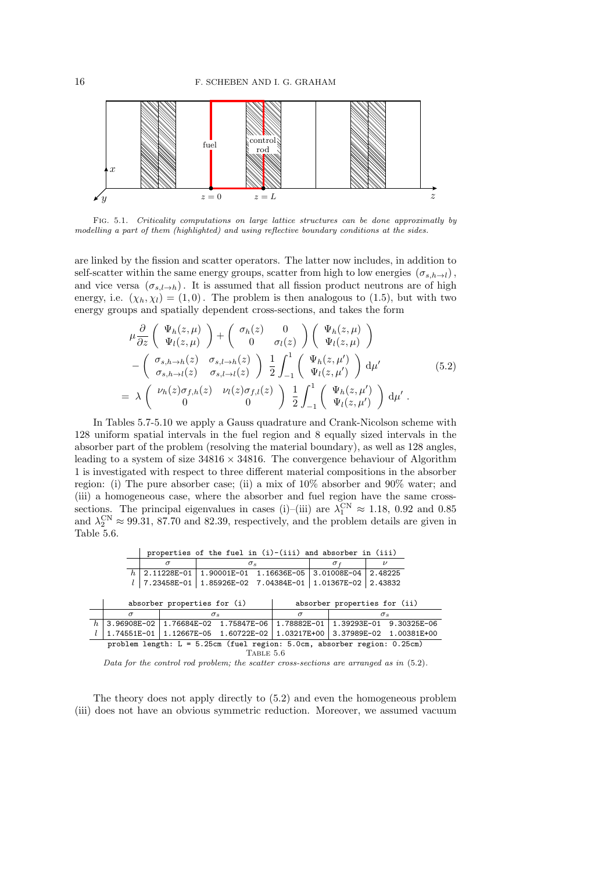

Fig. 5.1. Criticality computations on large lattice structures can be done approximatly by modelling a part of them (highlighted) and using reflective boundary conditions at the sides.

are linked by the fission and scatter operators. The latter now includes, in addition to self-scatter within the same energy groups, scatter from high to low energies  $(\sigma_{s,h\rightarrow l})$ , and vice versa  $(\sigma_{s,l\rightarrow h})$ . It is assumed that all fission product neutrons are of high energy, i.e.  $(\chi_h, \chi_l) = (1, 0)$ . The problem is then analogous to (1.5), but with two energy groups and spatially dependent cross-sections, and takes the form

$$
\mu \frac{\partial}{\partial z} \begin{pmatrix} \Psi_h(z,\mu) \\ \Psi_l(z,\mu) \end{pmatrix} + \begin{pmatrix} \sigma_h(z) & 0 \\ 0 & \sigma_l(z) \end{pmatrix} \begin{pmatrix} \Psi_h(z,\mu) \\ \Psi_l(z,\mu) \end{pmatrix} - \begin{pmatrix} \sigma_{s,h \to h}(z) & \sigma_{s,l \to h}(z) \\ \sigma_{s,h \to l}(z) & \sigma_{s,l \to l}(z) \end{pmatrix} \frac{1}{2} \int_{-1}^{1} \begin{pmatrix} \Psi_h(z,\mu') \\ \Psi_l(z,\mu') \end{pmatrix} d\mu' = \lambda \begin{pmatrix} \nu_h(z) \sigma_{f,h}(z) & \nu_l(z) \sigma_{f,l}(z) \\ 0 & 0 \end{pmatrix} \frac{1}{2} \int_{-1}^{1} \begin{pmatrix} \Psi_h(z,\mu') \\ \Psi_l(z,\mu') \end{pmatrix} d\mu' . \tag{5.2}
$$

In Tables 5.7-5.10 we apply a Gauss quadrature and Crank-Nicolson scheme with 128 uniform spatial intervals in the fuel region and 8 equally sized intervals in the absorber part of the problem (resolving the material boundary), as well as 128 angles, leading to a system of size  $34816 \times 34816$ . The convergence behaviour of Algorithm 1 is investigated with respect to three different material compositions in the absorber region: (i) The pure absorber case; (ii) a mix of 10% absorber and 90% water; and (iii) a homogeneous case, where the absorber and fuel region have the same crosssections. The principal eigenvalues in cases (i)–(iii) are  $\lambda_1^{\text{CN}} \approx 1.18, 0.92$  and 0.85 and  $\lambda_2^{\text{CN}} \approx 99.31, 87.70$  and 82.39, respectively, and the problem details are given in Table 5.6.

|                                                           |                                                                            |                        | properties of the fuel in $(i)-(iii)$ and absorber in $(iii)$ |                                     |  |  |                         |  |                         |            |  |  |
|-----------------------------------------------------------|----------------------------------------------------------------------------|------------------------|---------------------------------------------------------------|-------------------------------------|--|--|-------------------------|--|-------------------------|------------|--|--|
|                                                           |                                                                            | $\sigma$<br>$\sigma_s$ |                                                               |                                     |  |  |                         |  | $\sigma f$              |            |  |  |
|                                                           | $h \mid 2.11228E - 01$                                                     |                        |                                                               | 1.90001E-01 1.16636E-05 3.01008E-04 |  |  |                         |  |                         | 2.48225    |  |  |
|                                                           | 7.23458E-01   1.85926E-02  7.04384E-01   1.01367E-02   2.43832             |                        |                                                               |                                     |  |  |                         |  |                         |            |  |  |
|                                                           |                                                                            |                        |                                                               |                                     |  |  |                         |  |                         |            |  |  |
|                                                           | absorber properties for (i)<br>absorber properties for (ii)                |                        |                                                               |                                     |  |  |                         |  |                         |            |  |  |
|                                                           | $\sigma$                                                                   |                        |                                                               | $\sigma_s$                          |  |  | $\sigma$                |  |                         | $\sigma_s$ |  |  |
| h<br>3.96908E-02   1.76684E-02 1.75847E-06<br>1.78882E-01 |                                                                            |                        |                                                               |                                     |  |  | 1.39293E-01 9.30325E-06 |  |                         |            |  |  |
|                                                           | 1.03217E+00                                                                |                        |                                                               |                                     |  |  |                         |  | 3.37989E-02 1.00381E+00 |            |  |  |
|                                                           | problem length: $L = 5.25cm$ (fuel region: 5.0cm, absorber region: 0.25cm) |                        |                                                               |                                     |  |  |                         |  |                         |            |  |  |

TABLE 5.6

Data for the control rod problem; the scatter cross-sections are arranged as in  $(5.2)$ .

The theory does not apply directly to (5.2) and even the homogeneous problem (iii) does not have an obvious symmetric reduction. Moreover, we assumed vacuum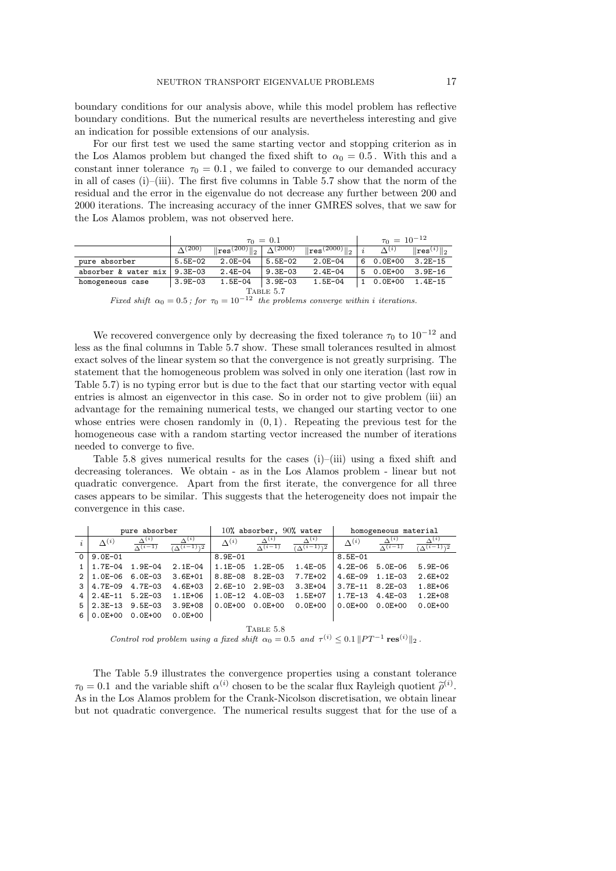boundary conditions for our analysis above, while this model problem has reflective boundary conditions. But the numerical results are nevertheless interesting and give an indication for possible extensions of our analysis.

For our first test we used the same starting vector and stopping criterion as in the Los Alamos problem but changed the fixed shift to  $\alpha_0 = 0.5$ . With this and a constant inner tolerance  $\tau_0 = 0.1$ , we failed to converge to our demanded accuracy in all of cases  $(i)$ –(iii). The first five columns in Table 5.7 show that the norm of the residual and the error in the eigenvalue do not decrease any further between 200 and 2000 iterations. The increasing accuracy of the inner GMRES solves, that we saw for the Los Alamos problem, was not observed here.

|                      |                | $\tau_0 = 0.1$                     | $\tau_0 = 10^{-12}$ |                                  |                 |                          |
|----------------------|----------------|------------------------------------|---------------------|----------------------------------|-----------------|--------------------------|
|                      | $\Lambda(200)$ | $\ $ res $(200)$ $\ $ <sub>2</sub> | $\Lambda(2000)$     | $\ $ res $(2000)\ $ <sub>2</sub> | $\Lambda^{(i)}$ | $\ \text{res}^{(i)}\ _2$ |
| pure absorber        | $5.5E-02$      | $2.0E - 04$                        | $5.5E-02$           | $2.0E - 04$                      | 6 0.0E+00       | $3.2E - 15$              |
| absorber & water mix | $9.3E - 0.3$   | $2.4E-04$                          | $9.3E - 03$         | $2.4E - 04$                      | 5 0.0E+00       | $3.9E - 16$              |
| homogeneous case     | $3.9E-03$      | $1.5E-04$                          | $3.9E - 03$         | 1.5E-04                          | 1 0.0E+00       | 1.4E-15                  |
|                      |                |                                    |                     |                                  |                 |                          |

Fixed shift  $\alpha_0 = 0.5$ ; for  $\tau_0 = 10^{-12}$  the problems converge within i iterations.

We recovered convergence only by decreasing the fixed tolerance  $\tau_0$  to  $10^{-12}$  and less as the final columns in Table 5.7 show. These small tolerances resulted in almost exact solves of the linear system so that the convergence is not greatly surprising. The statement that the homogeneous problem was solved in only one iteration (last row in Table 5.7) is no typing error but is due to the fact that our starting vector with equal entries is almost an eigenvector in this case. So in order not to give problem (iii) an advantage for the remaining numerical tests, we changed our starting vector to one whose entries were chosen randomly in  $(0, 1)$ . Repeating the previous test for the homogeneous case with a random starting vector increased the number of iterations needed to converge to five.

Table 5.8 gives numerical results for the cases  $(i)$ – $(iii)$  using a fixed shift and decreasing tolerances. We obtain - as in the Los Alamos problem - linear but not quadratic convergence. Apart from the first iterate, the convergence for all three cases appears to be similar. This suggests that the heterogeneity does not impair the convergence in this case.

|          |                 | pure absorber                     |                                     |                 | 10% absorber, $90%$ water         |                                    | homogeneous material |                                  |                                     |
|----------|-----------------|-----------------------------------|-------------------------------------|-----------------|-----------------------------------|------------------------------------|----------------------|----------------------------------|-------------------------------------|
|          | $\Lambda^{(i)}$ | $\Lambda^{(i)}$<br>$\Lambda(i-1)$ | $\Lambda^{(i)}$<br>$(\wedge(i-1))2$ | $\Lambda^{(i)}$ | $\Lambda^{(i)}$<br>$\Lambda(i-1)$ | $\Delta^{(i)}$<br>$\sqrt{(i-1)12}$ | $\Lambda^{(i)}$      | $\Delta^{(i)}$<br>$\Lambda(i-1)$ | $\Lambda^{(i)}$<br>$(\wedge(i-1))2$ |
| $\Omega$ | $9.0E - 01$     |                                   |                                     | $8.9E - 01$     |                                   |                                    | $8.5E - 01$          |                                  |                                     |
|          | $1.7E - 04$     | $1.9E - 04$                       | $2.1E - 04$                         | $1.1E - 05$     | $1.2E - 05$                       | $1.4E - 05$                        | $4.2E - 06$          | $5.0E - 06$                      | $5.9E - 06$                         |
| 2        | 1.0E-06         | $6.0E - 03$                       | $3.6E + 01$                         | 8.8E-08         | $8.2E - 03$                       | 7.7E+02                            | $4.6E - 09$          | $1.1E - 03$                      | $2.6E + 02$                         |
| 3        | $4.7E - 09$     | $4.7E - 03$                       | $4.6E + 03$                         | $2.6E-10$       | $2.9E - 03$                       | $3.3E + 04$                        | $3.7E-11$            | $8.2E - 03$                      | 1.8E+06                             |
| 4        | $2.4E-11$       | $5.2E - 03$                       | $1.1E + 06$                         | $1.0E - 12$     | $4.0E - 03$                       | 1.5E+07                            | $1.7E-13$            | $4.4E - 03$                      | $1.2E + 08$                         |
| 5        | $2.3E-13$       | $9.5E - 03$                       | $3.9E + 08$                         | $0.0E + 00$     | $0.0E + 00$                       | $0.0E + 00$                        | $0.0E + 00$          | $0.0E + 00$                      | $0.0E + 00$                         |
| 6        | $0.0E + 00$     | $0.0E + 00$                       | $0.0E + 00$                         |                 |                                   |                                    |                      |                                  |                                     |

Table 5.8

Control rod problem using a fixed shift  $\alpha_0 = 0.5$  and  $\tau^{(i)} \leq 0.1 ||PT^{-1} \text{ res}^{(i)}||_2$ .

The Table 5.9 illustrates the convergence properties using a constant tolerance  $\tau_0 = 0.1$  and the variable shift  $\alpha^{(i)}$  chosen to be the scalar flux Rayleigh quotient  $\tilde{\rho}^{(i)}$ . As in the Los Alamos problem for the Crank-Nicolson discretisation, we obtain linear but not quadratic convergence. The numerical results suggest that for the use of a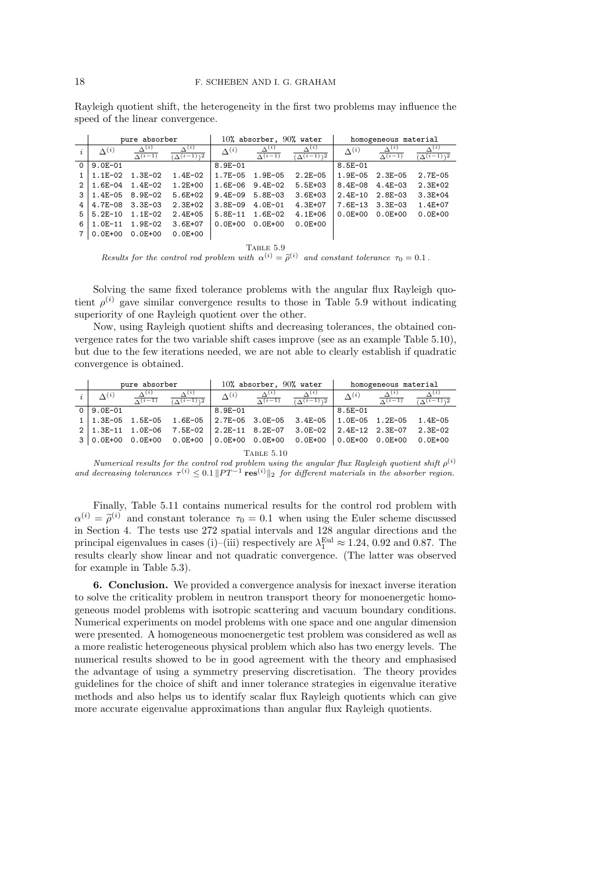Rayleigh quotient shift, the heterogeneity in the first two problems may influence the speed of the linear convergence.

|               |                 | pure absorber                    |                                                 |                 | $10$ % absorber, $90$ % water    |                                     | homogeneous material |                                  |                                                 |
|---------------|-----------------|----------------------------------|-------------------------------------------------|-----------------|----------------------------------|-------------------------------------|----------------------|----------------------------------|-------------------------------------------------|
|               | $\Lambda^{(i)}$ | $\Delta^{(i)}$<br>$\Lambda(i-1)$ | $\Lambda^{(i)}$<br>$(\Delta(i-1))$ <sup>2</sup> | $\Lambda^{(i)}$ | $\Delta^{(i)}$<br>$\Lambda(i-1)$ | $\Lambda^{(i)}$<br>$(\wedge(i-1))2$ | $\Lambda^{(i)}$      | $\Delta^{(i)}$<br>$\Lambda(i-1)$ | $\Lambda^{(i)}$<br>$(\wedge(i-1))$ <sup>2</sup> |
| $\Omega$      | $9.0E - 01$     |                                  |                                                 | $8.9E - 01$     |                                  |                                     | $8.5E - 01$          |                                  |                                                 |
|               | $1.1E-02$       | $1.3E-02$                        | $1.4E-02$                                       | 1.7E-05         | $1.9E - 05$                      | $2.2E - 05$                         | $1.9E - 05$          | 2.3E-05                          | $2.7E - 05$                                     |
| $\mathcal{D}$ | $1.6E - 04$     | $1.4E-02$                        | $1.2E + 00$                                     | $1.6E - 06$     | $9.4E - 02$                      | $5.5E + 03$                         | $8.4E - 08$          | $4.4E - 03$                      | $2.3E+02$                                       |
| 3             | 1.4E-05         | $8.9E - 02$                      | $5.6E+02$                                       | $9.4E - 09$     | $5.8E - 03$                      | $3.6E + 03$                         | $2.4E-10$            | 2.8E-03                          | $3.3E + 04$                                     |
| 4             | $4.7E - 08$     | $3.3E - 03$                      | $2.3E+02$                                       | $3.8E - 09$     | $4.0E - 01$                      | $4.3E + 07$                         | $7.6E-13$            | $3.3E - 03$                      | 1.4E+07                                         |
| 5             | $5.2E-10$       | $1.1E-02$                        | $2.4E + 0.5$                                    | $5.8E-11$       | $1.6E-02$                        | $4.1E + 06$                         | $0.0E + 00$          | $0.0E + 00$                      | $0.0E + 00$                                     |
| 6             | $1.0E-11$       | $1.9E - 02$                      | $3.6E + 07$                                     | $0.0E + 00$     | $0.0E + 00$                      | $0.0E + 00$                         |                      |                                  |                                                 |
|               | $0.0E + 00$     | $0.0E + 00$                      | $0.0E + 00$                                     |                 |                                  |                                     |                      |                                  |                                                 |

TABLE 5.9 Results for the control rod problem with  $\alpha^{(i)} = \tilde{\rho}^{(i)}$  and constant tolerance  $\tau_0 = 0.1$ .

Solving the same fixed tolerance problems with the angular flux Rayleigh quotient  $\rho^{(i)}$  gave similar convergence results to those in Table 5.9 without indicating superiority of one Rayleigh quotient over the other.

Now, using Rayleigh quotient shifts and decreasing tolerances, the obtained convergence rates for the two variable shift cases improve (see as an example Table 5.10), but due to the few iterations needed, we are not able to clearly establish if quadratic convergence is obtained.

|                           | pure absorber                                |                  | 10% absorber, 90% water |                                   |                                                     | homogeneous material |                                   |                                      |  |  |
|---------------------------|----------------------------------------------|------------------|-------------------------|-----------------------------------|-----------------------------------------------------|----------------------|-----------------------------------|--------------------------------------|--|--|
| $\Lambda^{(i)}$           | $\Lambda^{(i)}$<br>$\overline{\Lambda(i-1)}$ | $\sqrt{(i-1)/2}$ | $\Lambda^{(i)}$         | $\Lambda^{(i)}$<br>$\Lambda(i-1)$ | $\Lambda^{(i)}$<br>$\overline{(\Lambda^{(i-1)})^2}$ | $\Delta^{(i)}$       | $\Lambda^{(i)}$<br>$\Lambda(i-1)$ | $\Lambda^{(i)}$<br>$(\Lambda(i-1))2$ |  |  |
| $9.0E - 01$               |                                              |                  | $8.9E - 01$             |                                   |                                                     | $8.5E - 01$          |                                   |                                      |  |  |
| $1 \mid 1.3E - 05$        | $1.5E-05$                                    | $1.6E-05$        | 2.7E-05 3.0E-05         |                                   | 3.4E-05                                             | $1.0E-05$ 1.2E-05    |                                   | 1.4E-05                              |  |  |
| $2 \mid 1.3E-11$          | 1.0E-06                                      | 7.5E-02          | $2.2E-11$ 8.2E-07       |                                   | 3.0E-02                                             | $2.4E-12$ $2.3E-07$  |                                   | $2.3E - 02$                          |  |  |
| $3   0.0E + 00 0.0E + 00$ |                                              | 0.0E+00          | $  0.0E + 00 0.0E + 00$ |                                   | $0.0E + 00$                                         | 0.0E+00              | $0.0E + 00$                       | $0.0E + 00$                          |  |  |
| <b>TABLE 5.10</b>         |                                              |                  |                         |                                   |                                                     |                      |                                   |                                      |  |  |

Numerical results for the control rod problem using the angular flux Rayleigh quotient shift  $\rho^{(i)}$ and decreasing tolerances  $\tau^{(i)} \leq 0.1 ||PT^{-1} \text{ res}^{(i)}||_2$  for different materials in the absorber region.

Finally, Table 5.11 contains numerical results for the control rod problem with  $\alpha^{(i)} = \tilde{\rho}^{(i)}$  and constant tolerance  $\tau_0 = 0.1$  when using the Euler scheme discussed in Section 4. The tests use 272 spatial intervals and 128 angular directions and the principal eigenvalues in cases (i)–(iii) respectively are  $\lambda_1^{\text{Eul}} \approx 1.24, 0.92$  and 0.87. The results clearly show linear and not quadratic convergence. (The latter was observed for example in Table 5.3).

6. Conclusion. We provided a convergence analysis for inexact inverse iteration to solve the criticality problem in neutron transport theory for monoenergetic homogeneous model problems with isotropic scattering and vacuum boundary conditions. Numerical experiments on model problems with one space and one angular dimension were presented. A homogeneous monoenergetic test problem was considered as well as a more realistic heterogeneous physical problem which also has two energy levels. The numerical results showed to be in good agreement with the theory and emphasised the advantage of using a symmetry preserving discretisation. The theory provides guidelines for the choice of shift and inner tolerance strategies in eigenvalue iterative methods and also helps us to identify scalar flux Rayleigh quotients which can give more accurate eigenvalue approximations than angular flux Rayleigh quotients.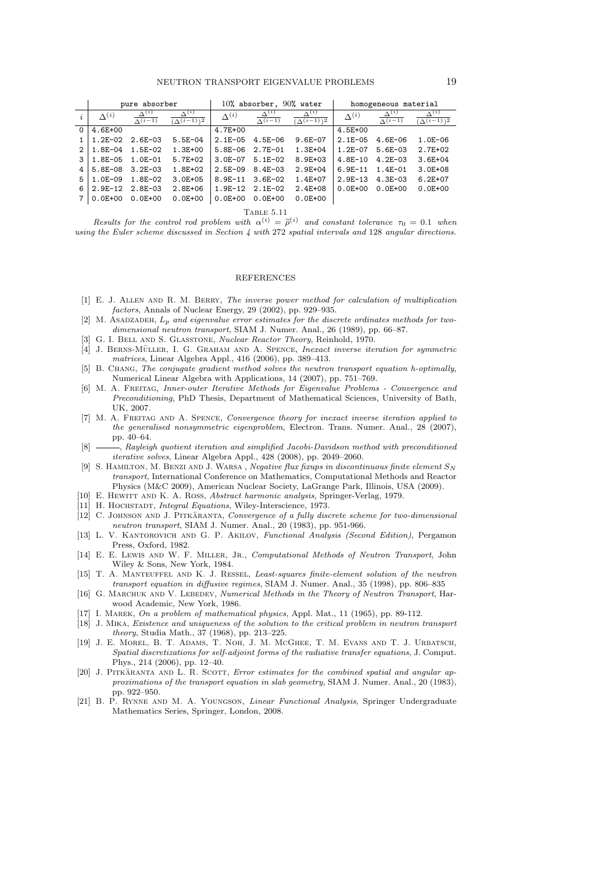|          |                 | pure absorber                    |                                     |                 | 10% absorber, $90%$ water        |                                     | homogeneous material |                                  |                                                 |
|----------|-----------------|----------------------------------|-------------------------------------|-----------------|----------------------------------|-------------------------------------|----------------------|----------------------------------|-------------------------------------------------|
|          | $\Lambda^{(i)}$ | $\Delta^{(i)}$<br>$\Lambda(i-1)$ | $\Lambda^{(i)}$<br>$(\wedge(i-1))2$ | $\Lambda^{(i)}$ | $\Delta^{(i)}$<br>$\Lambda(i-1)$ | $\Lambda^{(i)}$<br>$(\wedge(i-1))2$ | $\Lambda^{(i)}$      | $\Delta^{(i)}$<br>$\Lambda(i-1)$ | $\Lambda^{(i)}$<br>$(\Delta(i-1))$ <sup>2</sup> |
| $\Omega$ | $4.6E + 00$     |                                  |                                     | 4.7E+00         |                                  |                                     | $4.5E + 00$          |                                  |                                                 |
|          | $1.2E - 02$     | $2.6E - 03$                      | $5.5E - 04$                         | $2.1E - 05$     | $4.5E - 06$                      | $9.6E - 07$                         | $2.1E - 0.5$         | $4.6E - 06$                      | $1.0E - 06$                                     |
| 2        | $1.8E - 04$     | $1.5E-02$                        | $1.3E + 00$                         | $5.8E - 06$     | 2.7E-01                          | $1.3E + 04$                         | $1.2E - 07$          | $5.6E - 03$                      | 2.7E+02                                         |
| 3        | $1.8E - 05$     | 1.0E-01                          | $5.7E+02$                           | $3.0E - 07$     | $5.1E-02$                        | $8.9E + 03$                         | $4.8E - 10$          | $4.2E - 03$                      | $3.6E + 04$                                     |
| 4        | 5.8E-08         | $3.2E - 0.3$                     | 1.8E+02                             | $2.5E - 0.9$    | $8.4E - 0.3$                     | $2.9E + 04$                         | $6.9E - 11$          | $1.4E - 01$                      | $3.0E + 08$                                     |
| 5        | $1.0E - 09$     | $1.8E - 02$                      | $3.0E + 05$                         | $8.9E - 11$     | $3.6E - 02$                      | 1.4E+07                             | $2.9E-13$            | $4.3E - 03$                      | $6.2E + 07$                                     |
| 6        | $2.9E-12$       | $2.8E - 03$                      | $2.8E + 06$                         | $1.9E-12$       | $2.1E-02$                        | $2.4E + 08$                         | $0.0E + 00$          | $0.0E + 00$                      | $0.0E + 00$                                     |
|          | $0.0E + 00$     | $0.0E + 00$                      | $0.0E + 00$                         | $0.0E + 00$     | $0.0E + 00$                      | $0.0E + 00$                         |                      |                                  |                                                 |

Table 5.11

Results for the control rod problem with  $\alpha^{(i)} = \tilde{\rho}^{(i)}$  and constant tolerance  $\tau_0 = 0.1$  when using the Euler scheme discussed in Section 4 with 272 spatial intervals and 128 angular directions.

#### REFERENCES

- [1] E. J. Allen and R. M. Berry, The inverse power method for calculation of multiplication factors, Annals of Nuclear Energy, 29 (2002), pp. 929–935.
- [2] M. ASADZADEH,  $L_p$  and eigenvalue error estimates for the discrete ordinates methods for twodimensional neutron transport, SIAM J. Numer. Anal., 26 (1989), pp. 66–87.
- [3] G. I. BELL AND S. GLASSTONE, Nuclear Reactor Theory, Reinhold, 1970.
- $\vec{A}$  J. BERNS-MÜLLER, I. G. GRAHAM AND A. SPENCE, Inexact inverse iteration for symmetric matrices, Linear Algebra Appl., 416 (2006), pp. 389–413.
- [5] B. CHANG, The conjugate gradient method solves the neutron transport equation h-optimally, Numerical Linear Algebra with Applications, 14 (2007), pp. 751–769.
- [6] M. A. Freitag, Inner-outer Iterative Methods for Eigenvalue Problems Convergence and Preconditioning, PhD Thesis, Department of Mathematical Sciences, University of Bath, UK, 2007.
- [7] M. A. FREITAG AND A. SPENCE, Convergence theory for inexact inverse iteration applied to the generalised nonsymmetric eigenproblem, Electron. Trans. Numer. Anal., 28 (2007), pp. 40–64.
- [8]  $\_\_\_\_\$ Rayleigh quotient iteration and simplified Jacobi-Davidson method with preconditioned iterative solves, Linear Algebra Appl., 428 (2008), pp. 2049–2060.
- [9] S. HAMILTON, M. BENZI AND J. WARSA, Negative flux fixups in discontinuous finite element  $S_N$ transport, International Conference on Mathematics, Computational Methods and Reactor Physics (M&C 2009), American Nuclear Society, LaGrange Park, Illinois, USA (2009).
- [10] E. HEWITT AND K. A. Ross, Abstract harmonic analysis, Springer-Verlag, 1979.
- [11] H. HOCHSTADT, *Integral Equations*, Wiley-Interscience, 1973.
- [12] C. JOHNSON AND J. PITKÄRANTA, Convergence of a fully discrete scheme for two-dimensional neutron transport, SIAM J. Numer. Anal., 20 (1983), pp. 951-966.
- [13] L. V. Kantorovich and G. P. Akilov, Functional Analysis (Second Edition), Pergamon Press, Oxford, 1982.
- [14] E. E. Lewis AND W. F. Miller, Jr., Computational Methods of Neutron Transport, John Wiley & Sons, New York, 1984.
- [15] T. A. Manteuffel and K. J. Ressel, Least-squares finite-element solution of the neutron transport equation in diffusive regimes, SIAM J. Numer. Anal., 35 (1998), pp. 806–835
- [16] G. MARCHUK AND V. LEBEDEV, Numerical Methods in the Theory of Neutron Transport, Harwood Academic, New York, 1986.
- [17] I. Marek, On a problem of mathematical physics, Appl. Mat., 11 (1965), pp. 89-112.
- [18] J. Mika, Existence and uniqueness of the solution to the critical problem in neutron transport theory, Studia Math., 37 (1968), pp. 213–225.
- [19] J. E. Morel, B. T. Adams, T. Noh, J. M. McGhee, T. M. Evans and T. J. Urbatsch, Spatial discretizations for self-adjoint forms of the radiative transfer equations, J. Comput. Phys., 214 (2006), pp. 12–40.
- [20] J. PITKÄRANTA AND L. R. SCOTT, Error estimates for the combined spatial and angular approximations of the transport equation in slab geometry, SIAM J. Numer. Anal., 20 (1983), pp. 922–950.
- [21] B. P. RYNNE AND M. A. YOUNGSON, *Linear Functional Analysis*, Springer Undergraduate Mathematics Series, Springer, London, 2008.